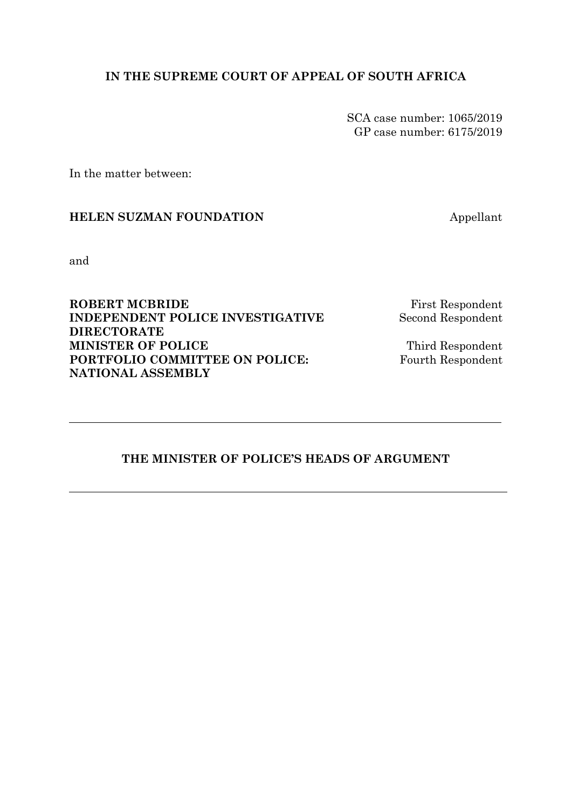## **IN THE SUPREME COURT OF APPEAL OF SOUTH AFRICA**

SCA case number: 1065/2019 GP case number: 6175/2019

In the matter between:

## **HELEN SUZMAN FOUNDATION** Appellant

and

**ROBERT MCBRIDE** First Respondent **INDEPENDENT POLICE INVESTIGATIVE Second Respondent DIRECTORATE MINISTER OF POLICE** Third Respondent **PORTFOLIO COMMITTEE ON POLICE:** Fourth Respondent **NATIONAL ASSEMBLY**

## **THE MINISTER OF POLICE'S HEADS OF ARGUMENT**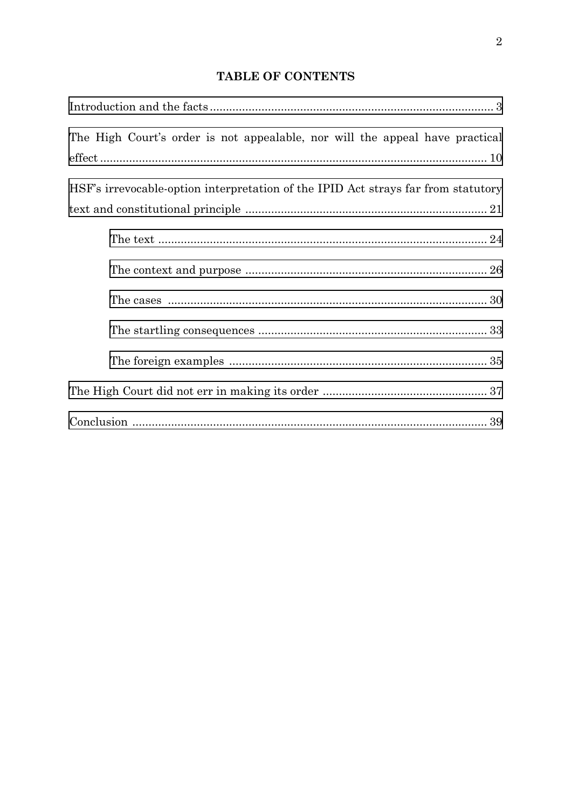# **TABLE OF CONTENTS**

| The High Court's order is not appealable, nor will the appeal have practical      |
|-----------------------------------------------------------------------------------|
|                                                                                   |
| HSF's irrevocable-option interpretation of the IPID Act strays far from statutory |
|                                                                                   |
|                                                                                   |
|                                                                                   |
|                                                                                   |
|                                                                                   |
|                                                                                   |
|                                                                                   |
|                                                                                   |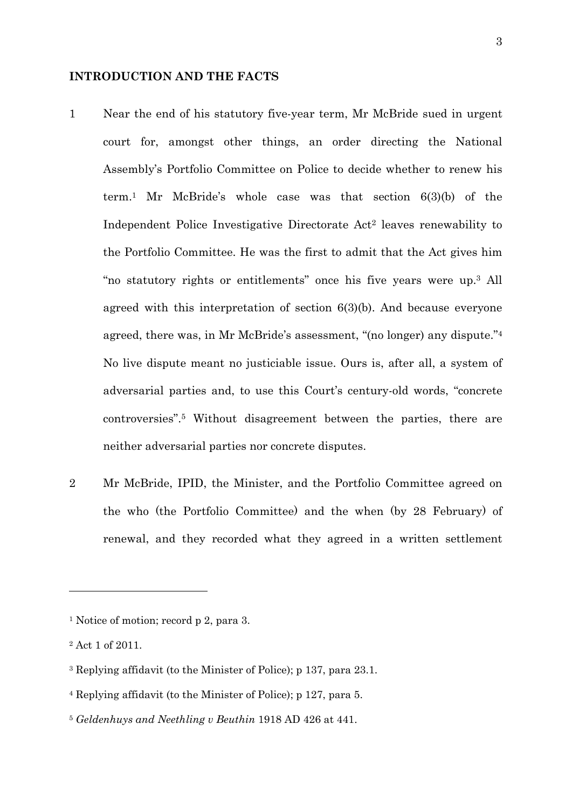#### <span id="page-2-1"></span>**INTRODUCTION AND THE FACTS**

- <span id="page-2-0"></span>1 Near the end of his statutory five-year term, Mr McBride sued in urgent court for, amongst other things, an order directing the National Assembly's Portfolio Committee on Police to decide whether to renew his term.1 Mr McBride's whole case was that section 6(3)(b) of the Independent Police Investigative Directorate Act2 leaves renewability to the Portfolio Committee. He was the first to admit that the Act gives him "no statutory rights or entitlements" once his five years were up.3 All agreed with this interpretation of section 6(3)(b). And because everyone agreed, there was, in Mr McBride's assessment, "(no longer) any dispute."4 No live dispute meant no justiciable issue. Ours is, after all, a system of adversarial parties and, to use this Court's century-old words, "concrete controversies".5 Without disagreement between the parties, there are neither adversarial parties nor concrete disputes.
- <span id="page-2-2"></span>2 Mr McBride, IPID, the Minister, and the Portfolio Committee agreed on the who (the Portfolio Committee) and the when (by 28 February) of renewal, and they recorded what they agreed in a written settlement

<sup>&</sup>lt;sup>1</sup> Notice of motion; record p 2, para 3.

<sup>2</sup> Act 1 of 2011.

<sup>3</sup> Replying affidavit (to the Minister of Police); p 137, para 23.1.

<sup>4</sup> Replying affidavit (to the Minister of Police); p 127, para 5.

<sup>5</sup> *Geldenhuys and Neethling v Beuthin* 1918 AD 426 at 441.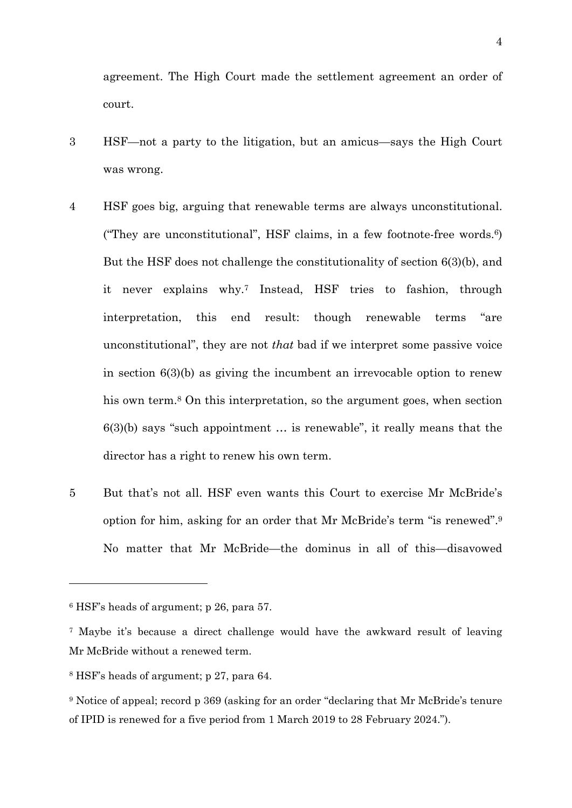agreement. The High Court made the settlement agreement an order of court.

- 3 HSF—not a party to the litigation, but an amicus—says the High Court was wrong.
- 4 HSF goes big, arguing that renewable terms are always unconstitutional. ("They are unconstitutional", HSF claims, in a few footnote-free words. $6$ ) But the HSF does not challenge the constitutionality of section 6(3)(b), and it never explains why.7 Instead, HSF tries to fashion, through interpretation, this end result: though renewable terms "are unconstitutional", they are not *that* bad if we interpret some passive voice in section 6(3)(b) as giving the incumbent an irrevocable option to renew his own term.<sup>8</sup> On this interpretation, so the argument goes, when section 6(3)(b) says "such appointment … is renewable", it really means that the director has a right to renew his own term.
- 5 But that's not all. HSF even wants this Court to exercise Mr McBride's option for him, asking for an order that Mr McBride's term "is renewed".9 No matter that Mr McBride—the dominus in all of this—disavowed

<sup>6</sup> HSF's heads of argument; p 26, para 57.

<sup>7</sup> Maybe it's because a direct challenge would have the awkward result of leaving Mr McBride without a renewed term.

<sup>8</sup> HSF's heads of argument; p 27, para 64.

<sup>9</sup> Notice of appeal; record p 369 (asking for an order "declaring that Mr McBride's tenure of IPID is renewed for a five period from 1 March 2019 to 28 February 2024.").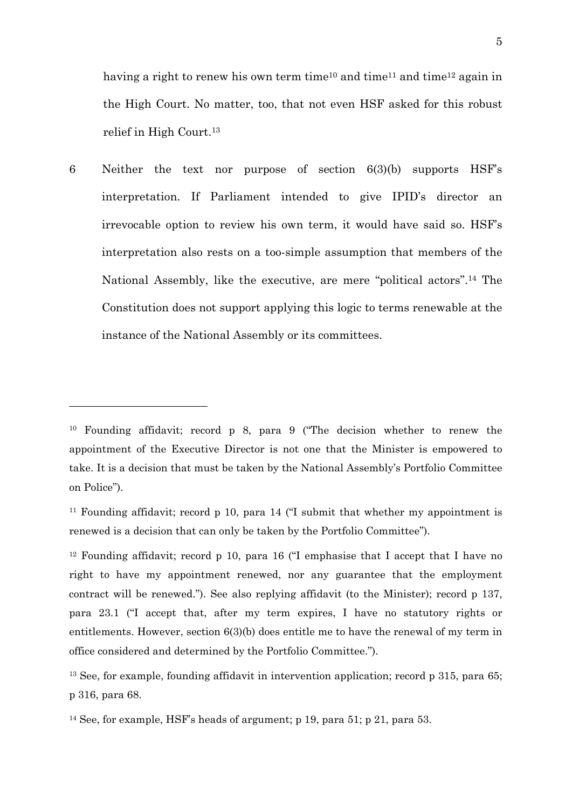having a right to renew his own term time<sup>10</sup> and time<sup>11</sup> and time<sup>12</sup> again in the High Court. No matter, too, that not even HSF asked for this robust relief in High Court.13

6 Neither the text nor purpose of section 6(3)(b) supports HSF's interpretation. If Parliament intended to give IPID's director an irrevocable option to review his own term, it would have said so. HSF's interpretation also rests on a too-simple assumption that members of the National Assembly, like the executive, are mere "political actors".14 The Constitution does not support applying this logic to terms renewable at the instance of the National Assembly or its committees.

<sup>10</sup> Founding affidavit; record p 8, para 9 ("The decision whether to renew the appointment of the Executive Director is not one that the Minister is empowered to take. It is a decision that must be taken by the National Assembly's Portfolio Committee on Police").

<sup>&</sup>lt;sup>11</sup> Founding affidavit; record p 10, para 14 ( $\text{I}$  submit that whether my appointment is renewed is a decision that can only be taken by the Portfolio Committee").

<sup>&</sup>lt;sup>12</sup> Founding affidavit; record p 10, para 16 ("I emphasise that I accept that I have no right to have my appointment renewed, nor any guarantee that the employment contract will be renewed."). See also replying affidavit (to the Minister); record p 137, para 23.1 ("I accept that, after my term expires, I have no statutory rights or entitlements. However, section 6(3)(b) does entitle me to have the renewal of my term in office considered and determined by the Portfolio Committee.").

<sup>&</sup>lt;sup>13</sup> See, for example, founding affidavit in intervention application; record p 315, para 65; p 316, para 68.

<sup>&</sup>lt;sup>14</sup> See, for example, HSF's heads of argument; p 19, para  $51$ ; p 21, para  $53$ .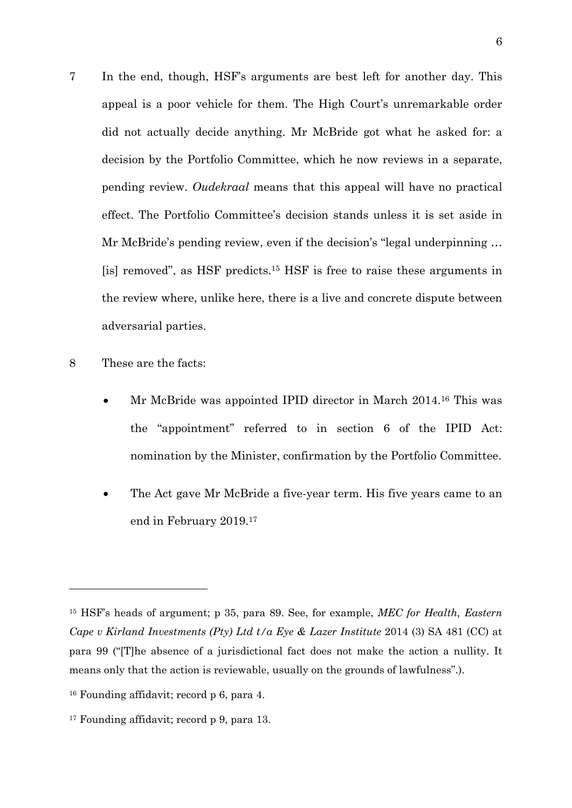- 7 In the end, though, HSF's arguments are best left for another day. This appeal is a poor vehicle for them. The High Court's unremarkable order did not actually decide anything. Mr McBride got what he asked for: a decision by the Portfolio Committee, which he now reviews in a separate, pending review. *Oudekraal* means that this appeal will have no practical effect. The Portfolio Committee's decision stands unless it is set aside in Mr McBride's pending review, even if the decision's "legal underpinning … [is] removed", as HSF predicts.15 HSF is free to raise these arguments in the review where, unlike here, there is a live and concrete dispute between adversarial parties.
- 8 These are the facts:

- Mr McBride was appointed IPID director in March 2014.16 This was the "appointment" referred to in section 6 of the IPID Act: nomination by the Minister, confirmation by the Portfolio Committee.
- The Act gave Mr McBride a five-year term. His five years came to an end in February 2019.17

<sup>15</sup> HSF's heads of argument; p 35, para 89. See, for example, *MEC for Health, Eastern Cape v Kirland Investments (Pty) Ltd t/a Eye & Lazer Institute* 2014 (3) SA 481 (CC) at para 99 ("[T]he absence of a jurisdictional fact does not make the action a nullity. It means only that the action is reviewable, usually on the grounds of lawfulness".).

<sup>16</sup> Founding affidavit; record p 6, para 4.

<sup>&</sup>lt;sup>17</sup> Founding affidavit; record p 9, para 13.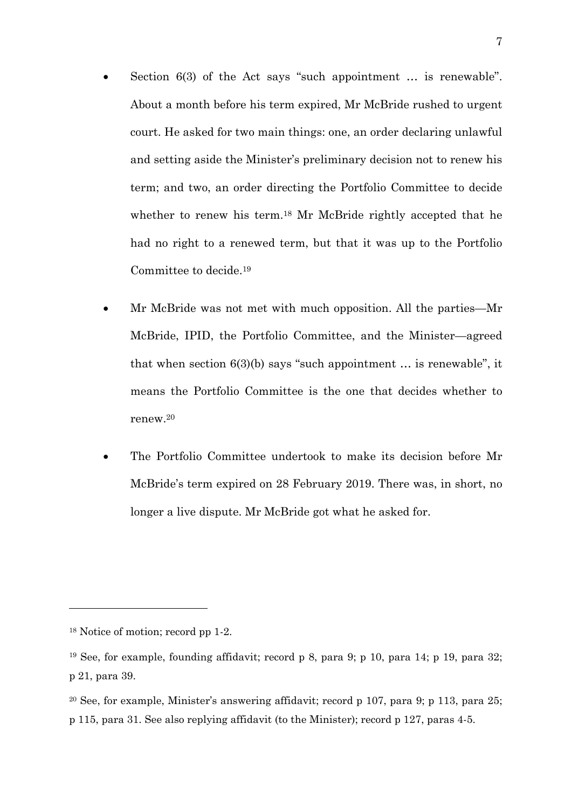- Section 6(3) of the Act says "such appointment … is renewable". About a month before his term expired, Mr McBride rushed to urgent court. He asked for two main things: one, an order declaring unlawful and setting aside the Minister's preliminary decision not to renew his term; and two, an order directing the Portfolio Committee to decide whether to renew his term.<sup>18</sup> Mr McBride rightly accepted that he had no right to a renewed term, but that it was up to the Portfolio Committee to decide.19
- Mr McBride was not met with much opposition. All the parties—Mr McBride, IPID, the Portfolio Committee, and the Minister—agreed that when section  $6(3)(b)$  says "such appointment ... is renewable", it means the Portfolio Committee is the one that decides whether to renew.20
- The Portfolio Committee undertook to make its decision before Mr McBride's term expired on 28 February 2019. There was, in short, no longer a live dispute. Mr McBride got what he asked for.

<sup>18</sup> Notice of motion; record pp 1-2.

<sup>19</sup> See, for example, founding affidavit; record p 8, para 9; p 10, para 14; p 19, para 32; p 21, para 39.

<sup>20</sup> See, for example, Minister's answering affidavit; record p 107, para 9; p 113, para 25; p 115, para 31. See also replying affidavit (to the Minister); record p 127, paras 4-5.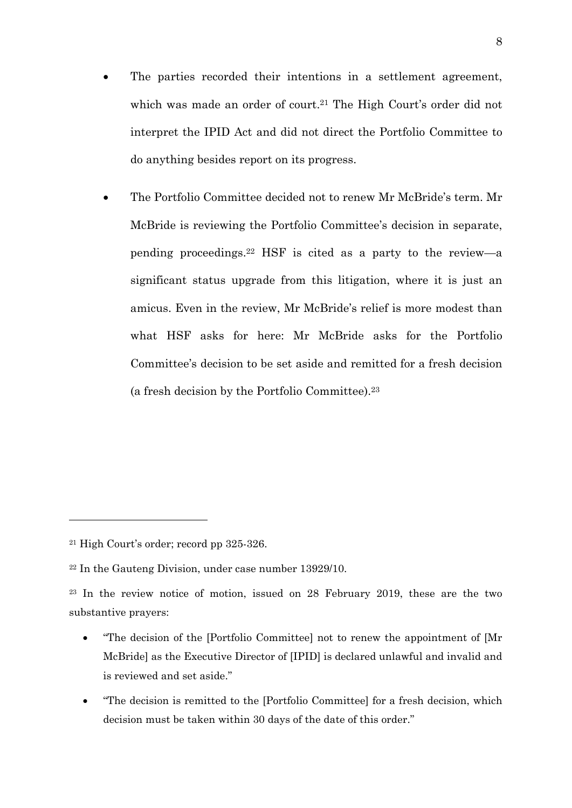- The parties recorded their intentions in a settlement agreement, which was made an order of court.<sup>21</sup> The High Court's order did not interpret the IPID Act and did not direct the Portfolio Committee to do anything besides report on its progress.
- The Portfolio Committee decided not to renew Mr McBride's term. Mr McBride is reviewing the Portfolio Committee's decision in separate, pending proceedings.22 HSF is cited as a party to the review—a significant status upgrade from this litigation, where it is just an amicus. Even in the review, Mr McBride's relief is more modest than what HSF asks for here: Mr McBride asks for the Portfolio Committee's decision to be set aside and remitted for a fresh decision (a fresh decision by the Portfolio Committee).23

-

<sup>21</sup> High Court's order; record pp 325-326.

<sup>22</sup> In the Gauteng Division, under case number 13929/10.

<sup>23</sup> In the review notice of motion, issued on 28 February 2019, these are the two substantive prayers:

<sup>•</sup> "The decision of the [Portfolio Committee] not to renew the appointment of [Mr McBride] as the Executive Director of [IPID] is declared unlawful and invalid and is reviewed and set aside."

<sup>•</sup> "The decision is remitted to the [Portfolio Committee] for a fresh decision, which decision must be taken within 30 days of the date of this order."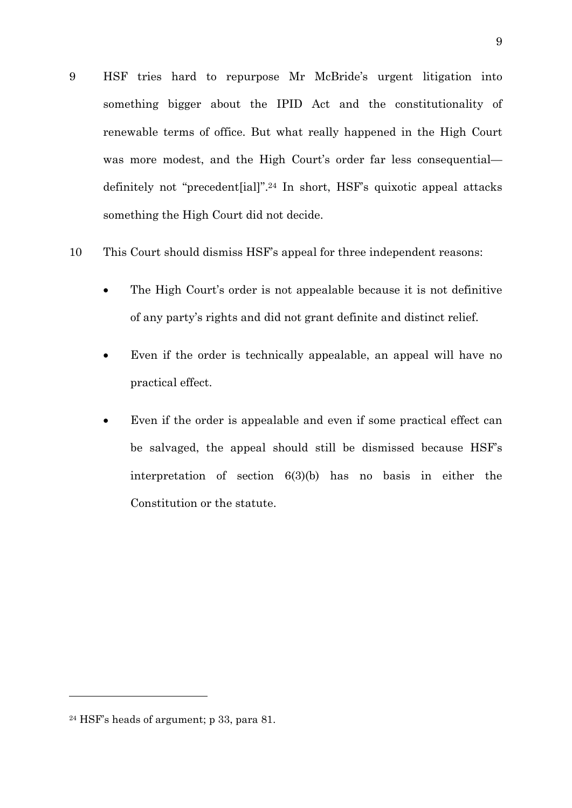- 9 HSF tries hard to repurpose Mr McBride's urgent litigation into something bigger about the IPID Act and the constitutionality of renewable terms of office. But what really happened in the High Court was more modest, and the High Court's order far less consequential definitely not "precedent[ial]".24 In short, HSF's quixotic appeal attacks something the High Court did not decide.
- 10 This Court should dismiss HSF's appeal for three independent reasons:
	- The High Court's order is not appealable because it is not definitive of any party's rights and did not grant definite and distinct relief.
	- Even if the order is technically appealable, an appeal will have no practical effect.
	- Even if the order is appealable and even if some practical effect can be salvaged, the appeal should still be dismissed because HSF's interpretation of section 6(3)(b) has no basis in either the Constitution or the statute.

<sup>24</sup> HSF's heads of argument; p 33, para 81.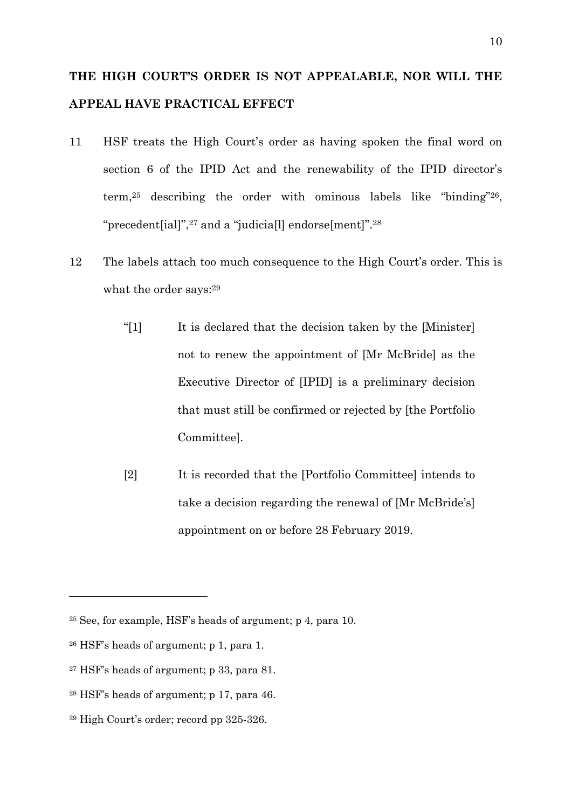# <span id="page-9-1"></span>**THE HIGH COURT'S ORDER IS NOT APPEALABLE, NOR WILL THE APPEAL HAVE PRACTICAL EFFECT**

- <span id="page-9-0"></span>11 HSF treats the High Court's order as having spoken the final word on section 6 of the IPID Act and the renewability of the IPID director's term,25 describing the order with ominous labels like "binding"26, "precedent[ial]",27 and a "judicia[l] endorse[ment]".28
- 12 The labels attach too much consequence to the High Court's order. This is what the order says:<sup>29</sup>
	- "[1] It is declared that the decision taken by the [Minister] not to renew the appointment of [Mr McBride] as the Executive Director of [IPID] is a preliminary decision that must still be confirmed or rejected by [the Portfolio Committee].
	- [2] It is recorded that the [Portfolio Committee] intends to take a decision regarding the renewal of [Mr McBride's] appointment on or before 28 February 2019.

<sup>25</sup> See, for example, HSF's heads of argument; p 4, para 10.

<sup>26</sup> HSF's heads of argument; p 1, para 1.

<sup>27</sup> HSF's heads of argument; p 33, para 81.

<sup>28</sup> HSF's heads of argument; p 17, para 46.

<sup>29</sup> High Court's order; record pp 325-326.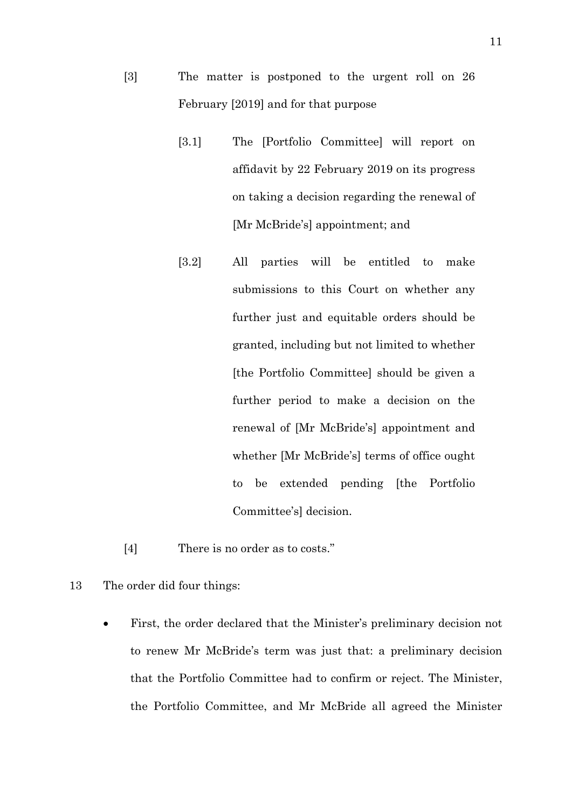- [3] The matter is postponed to the urgent roll on 26 February [2019] and for that purpose
	- [3.1] The [Portfolio Committee] will report on affidavit by 22 February 2019 on its progress on taking a decision regarding the renewal of [Mr McBride's] appointment; and
	- [3.2] All parties will be entitled to make submissions to this Court on whether any further just and equitable orders should be granted, including but not limited to whether [the Portfolio Committee] should be given a further period to make a decision on the renewal of [Mr McBride's] appointment and whether [Mr McBride's] terms of office ought to be extended pending [the Portfolio Committee's] decision.
- [4] There is no order as to costs."
- 13 The order did four things:
	- First, the order declared that the Minister's preliminary decision not to renew Mr McBride's term was just that: a preliminary decision that the Portfolio Committee had to confirm or reject. The Minister, the Portfolio Committee, and Mr McBride all agreed the Minister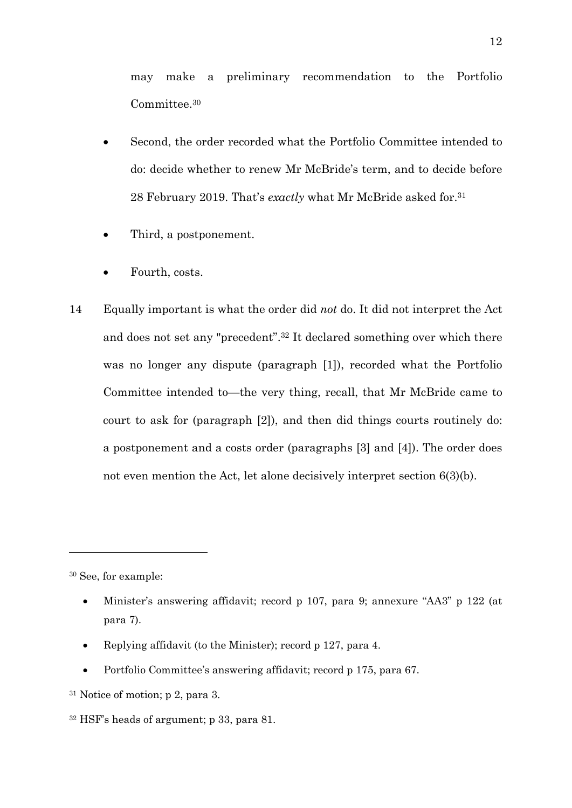may make a preliminary recommendation to the Portfolio Committee.30

- Second, the order recorded what the Portfolio Committee intended to do: decide whether to renew Mr McBride's term, and to decide before 28 February 2019. That's *exactly* what Mr McBride asked for.31
- Third, a postponement.
- Fourth, costs.
- 14 Equally important is what the order did *not* do. It did not interpret the Act and does not set any "precedent".32 It declared something over which there was no longer any dispute (paragraph [1]), recorded what the Portfolio Committee intended to—the very thing, recall, that Mr McBride came to court to ask for (paragraph [2]), and then did things courts routinely do: a postponement and a costs order (paragraphs [3] and [4]). The order does not even mention the Act, let alone decisively interpret section 6(3)(b).

<sup>30</sup> See, for example:

-

- Minister's answering affidavit; record p 107, para 9; annexure "AA3" p 122 (at para 7).
- Replying affidavit (to the Minister); record p 127, para 4.
- Portfolio Committee's answering affidavit; record p 175, para 67.
- <sup>31</sup> Notice of motion; p 2, para 3.

<sup>32</sup> HSF's heads of argument; p 33, para 81.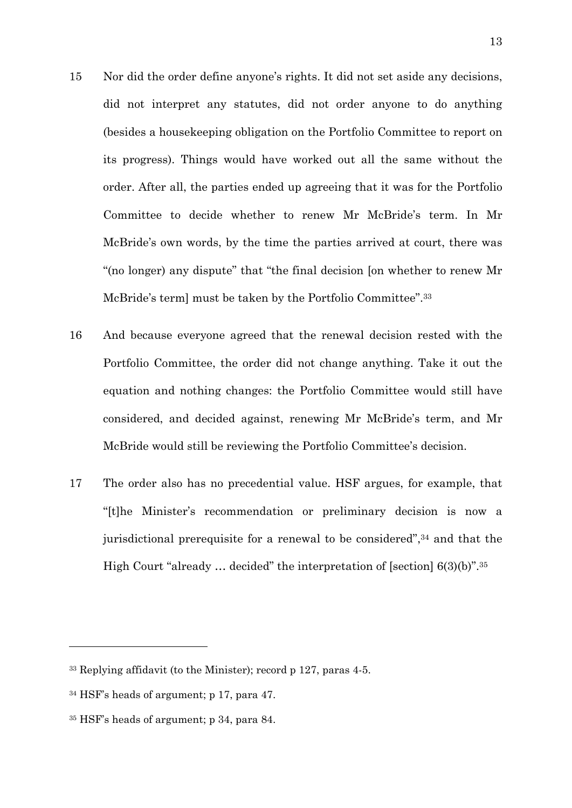- 15 Nor did the order define anyone's rights. It did not set aside any decisions, did not interpret any statutes, did not order anyone to do anything (besides a housekeeping obligation on the Portfolio Committee to report on its progress). Things would have worked out all the same without the order. After all, the parties ended up agreeing that it was for the Portfolio Committee to decide whether to renew Mr McBride's term. In Mr McBride's own words, by the time the parties arrived at court, there was "(no longer) any dispute" that "the final decision [on whether to renew Mr McBride's term] must be taken by the Portfolio Committee".<sup>33</sup>
- 16 And because everyone agreed that the renewal decision rested with the Portfolio Committee, the order did not change anything. Take it out the equation and nothing changes: the Portfolio Committee would still have considered, and decided against, renewing Mr McBride's term, and Mr McBride would still be reviewing the Portfolio Committee's decision.
- 17 The order also has no precedential value. HSF argues, for example, that "[t]he Minister's recommendation or preliminary decision is now a jurisdictional prerequisite for a renewal to be considered",<sup>34</sup> and that the High Court "already … decided" the interpretation of [section] 6(3)(b)".35

 $33$  Replying affidavit (to the Minister); record p 127, paras 4-5.

<sup>34</sup> HSF's heads of argument; p 17, para 47.

<sup>35</sup> HSF's heads of argument; p 34, para 84.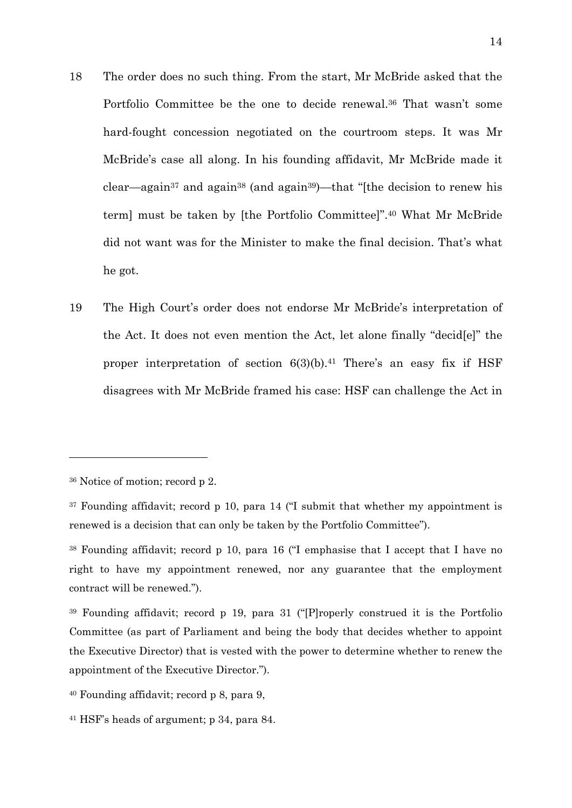- 18 The order does no such thing. From the start, Mr McBride asked that the Portfolio Committee be the one to decide renewal.36 That wasn't some hard-fought concession negotiated on the courtroom steps. It was Mr McBride's case all along. In his founding affidavit, Mr McBride made it clear—again<sup>37</sup> and again<sup>38</sup> (and again<sup>39</sup>)—that "[the decision to renew his term] must be taken by [the Portfolio Committee]".40 What Mr McBride did not want was for the Minister to make the final decision. That's what he got.
- 19 The High Court's order does not endorse Mr McBride's interpretation of the Act. It does not even mention the Act, let alone finally "decid[e]" the proper interpretation of section  $6(3)(b)$ .<sup>41</sup> There's an easy fix if HSF disagrees with Mr McBride framed his case: HSF can challenge the Act in

<sup>36</sup> Notice of motion; record p 2.

 $37$  Founding affidavit; record p 10, para 14 ( $\degree$ I submit that whether my appointment is renewed is a decision that can only be taken by the Portfolio Committee").

<sup>38</sup> Founding affidavit; record p 10, para 16 ("I emphasise that I accept that I have no right to have my appointment renewed, nor any guarantee that the employment contract will be renewed.").

<sup>39</sup> Founding affidavit; record p 19, para 31 ("[P]roperly construed it is the Portfolio Committee (as part of Parliament and being the body that decides whether to appoint the Executive Director) that is vested with the power to determine whether to renew the appointment of the Executive Director.").

<sup>40</sup> Founding affidavit; record p 8, para 9,

<sup>41</sup> HSF's heads of argument; p 34, para 84.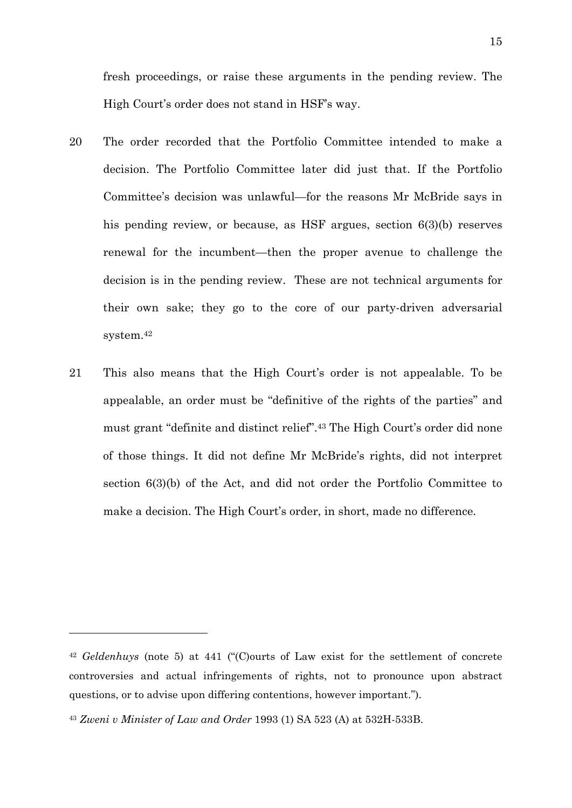fresh proceedings, or raise these arguments in the pending review. The High Court's order does not stand in HSF's way.

- 20 The order recorded that the Portfolio Committee intended to make a decision. The Portfolio Committee later did just that. If the Portfolio Committee's decision was unlawful—for the reasons Mr McBride says in his pending review, or because, as HSF argues, section 6(3)(b) reserves renewal for the incumbent—then the proper avenue to challenge the decision is in the pending review. These are not technical arguments for their own sake; they go to the core of our party-driven adversarial system.42
- <span id="page-14-0"></span>21 This also means that the High Court's order is not appealable. To be appealable, an order must be "definitive of the rights of the parties" and must grant "definite and distinct relief".43 The High Court's order did none of those things. It did not define Mr McBride's rights, did not interpret section 6(3)(b) of the Act, and did not order the Portfolio Committee to make a decision. The High Court's order, in short, made no difference.

<sup>42</sup> *Geldenhuys* (note [5\)](#page-2-2) at 441 ("(C)ourts of Law exist for the settlement of concrete controversies and actual infringements of rights, not to pronounce upon abstract questions, or to advise upon differing contentions, however important.").

<sup>43</sup> *Zweni v Minister of Law and Order* 1993 (1) SA 523 (A) at 532H-533B.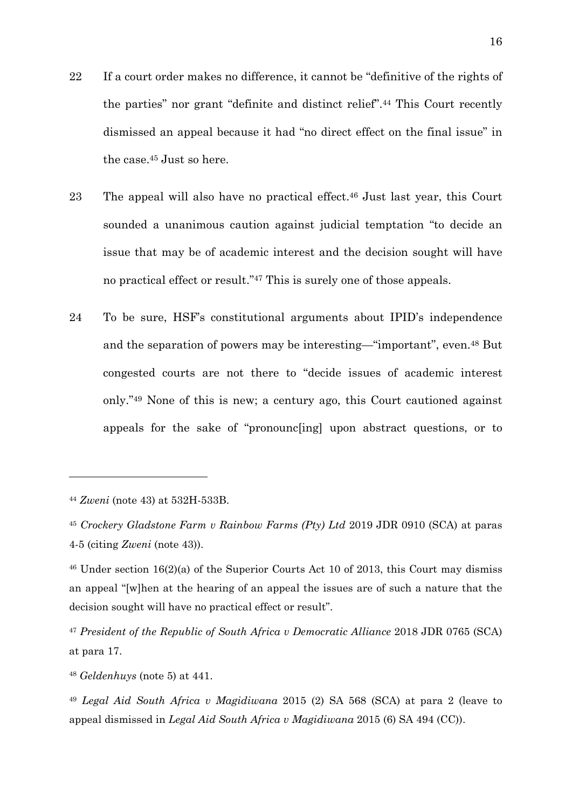- 22 If a court order makes no difference, it cannot be "definitive of the rights of the parties" nor grant "definite and distinct relief".44 This Court recently dismissed an appeal because it had "no direct effect on the final issue" in the case.45 Just so here.
- 23 The appeal will also have no practical effect.46 Just last year, this Court sounded a unanimous caution against judicial temptation "to decide an issue that may be of academic interest and the decision sought will have no practical effect or result."47 This is surely one of those appeals.
- 24 To be sure, HSF's constitutional arguments about IPID's independence and the separation of powers may be interesting—"important", even.48 But congested courts are not there to "decide issues of academic interest only."49 None of this is new; a century ago, this Court cautioned against appeals for the sake of "pronounc[ing] upon abstract questions, or to

<span id="page-15-0"></span>-

<sup>44</sup> *Zweni* (note [43\)](#page-14-0) at 532H-533B.

<sup>45</sup> *Crockery Gladstone Farm v Rainbow Farms (Pty) Ltd* 2019 JDR 0910 (SCA) at paras 4-5 (citing *Zweni* (note [43\)](#page-14-0)).

<sup>46</sup> Under section 16(2)(a) of the Superior Courts Act 10 of 2013, this Court may dismiss an appeal "[w]hen at the hearing of an appeal the issues are of such a nature that the decision sought will have no practical effect or result".

<sup>47</sup> *President of the Republic of South Africa v Democratic Alliance* 2018 JDR 0765 (SCA) at para 17.

<sup>48</sup> *Geldenhuys* (note [5\)](#page-2-2) at 441.

<sup>49</sup> *Legal Aid South Africa v Magidiwana* 2015 (2) SA 568 (SCA) at para 2 (leave to appeal dismissed in *Legal Aid South Africa v Magidiwana* 2015 (6) SA 494 (CC)).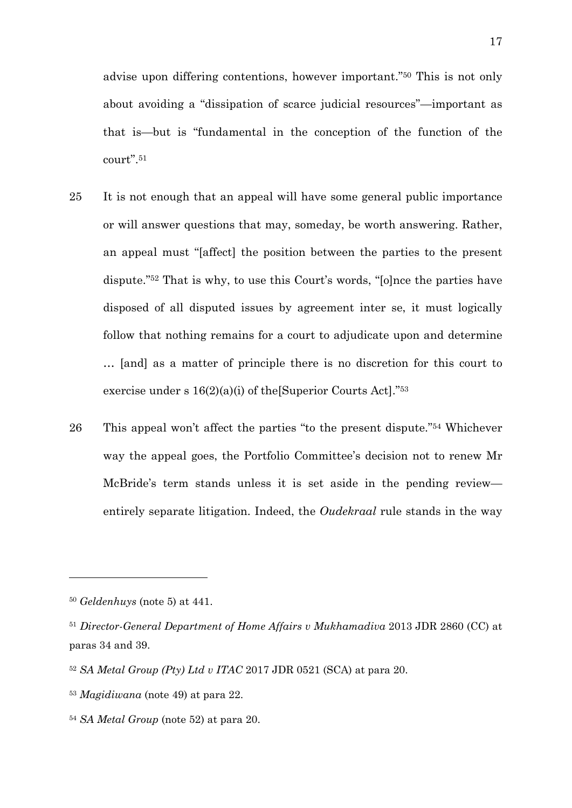advise upon differing contentions, however important."50 This is not only about avoiding a "dissipation of scarce judicial resources"—important as that is—but is "fundamental in the conception of the function of the court".51

- <span id="page-16-0"></span>25 It is not enough that an appeal will have some general public importance or will answer questions that may, someday, be worth answering. Rather, an appeal must "[affect] the position between the parties to the present dispute."52 That is why, to use this Court's words, "[o]nce the parties have disposed of all disputed issues by agreement inter se, it must logically follow that nothing remains for a court to adjudicate upon and determine … [and] as a matter of principle there is no discretion for this court to exercise under s  $16(2)(a)(i)$  of the Superior Courts Act]."<sup>53</sup>
- 26 This appeal won't affect the parties "to the present dispute."54 Whichever way the appeal goes, the Portfolio Committee's decision not to renew Mr McBride's term stands unless it is set aside in the pending review entirely separate litigation. Indeed, the *Oudekraal* rule stands in the way

<sup>50</sup> *Geldenhuys* (note [5\)](#page-2-2) at 441.

<sup>51</sup> *Director-General Department of Home Affairs v Mukhamadiva* 2013 JDR 2860 (CC) at paras 34 and 39.

<sup>52</sup> *SA Metal Group (Pty) Ltd v ITAC* 2017 JDR 0521 (SCA) at para 20.

<sup>53</sup> *Magidiwana* (note [49\)](#page-15-0) at para 22.

<sup>54</sup> *SA Metal Group* (note [52\)](#page-16-0) at para 20.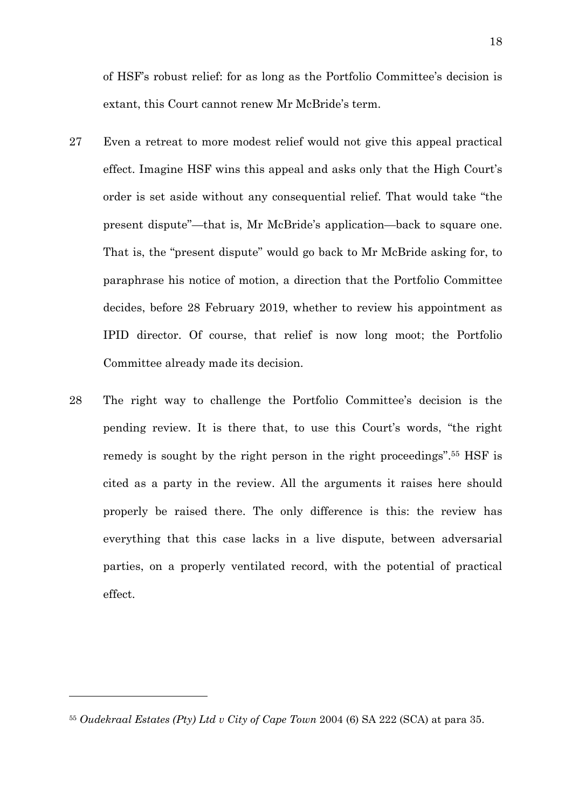of HSF's robust relief: for as long as the Portfolio Committee's decision is extant, this Court cannot renew Mr McBride's term.

- 27 Even a retreat to more modest relief would not give this appeal practical effect. Imagine HSF wins this appeal and asks only that the High Court's order is set aside without any consequential relief. That would take "the present dispute"—that is, Mr McBride's application—back to square one. That is, the "present dispute" would go back to Mr McBride asking for, to paraphrase his notice of motion, a direction that the Portfolio Committee decides, before 28 February 2019, whether to review his appointment as IPID director. Of course, that relief is now long moot; the Portfolio Committee already made its decision.
- 28 The right way to challenge the Portfolio Committee's decision is the pending review. It is there that, to use this Court's words, "the right remedy is sought by the right person in the right proceedings".55 HSF is cited as a party in the review. All the arguments it raises here should properly be raised there. The only difference is this: the review has everything that this case lacks in a live dispute, between adversarial parties, on a properly ventilated record, with the potential of practical effect.

<sup>55</sup> *Oudekraal Estates (Pty) Ltd v City of Cape Town* 2004 (6) SA 222 (SCA) at para 35.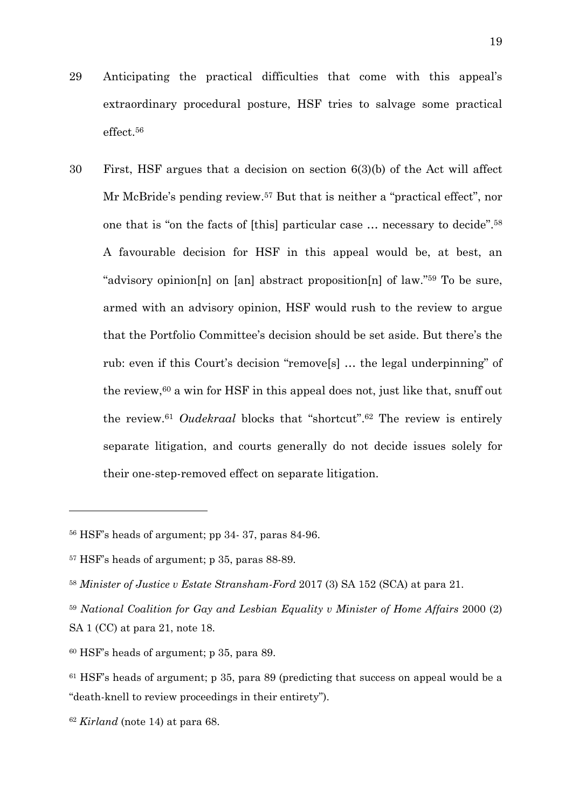- 29 Anticipating the practical difficulties that come with this appeal's extraordinary procedural posture, HSF tries to salvage some practical effect.56
- 30 First, HSF argues that a decision on section 6(3)(b) of the Act will affect Mr McBride's pending review.57 But that is neither a "practical effect", nor one that is "on the facts of [this] particular case … necessary to decide".58 A favourable decision for HSF in this appeal would be, at best, an "advisory opinion[n] on [an] abstract proposition[n] of law."59 To be sure, armed with an advisory opinion, HSF would rush to the review to argue that the Portfolio Committee's decision should be set aside. But there's the rub: even if this Court's decision "remove[s] … the legal underpinning" of the review, $60$  a win for HSF in this appeal does not, just like that, snuff out the review.61 *Oudekraal* blocks that "shortcut".62 The review is entirely separate litigation, and courts generally do not decide issues solely for their one-step-removed effect on separate litigation.

<sup>62</sup> *Kirland* (note 14) at para 68.

<sup>56</sup> HSF's heads of argument; pp 34- 37, paras 84-96.

<sup>57</sup> HSF's heads of argument; p 35, paras 88-89.

<sup>58</sup> *Minister of Justice v Estate Stransham-Ford* 2017 (3) SA 152 (SCA) at para 21.

<sup>59</sup> *National Coalition for Gay and Lesbian Equality v Minister of Home Affairs* 2000 (2) SA 1 (CC) at para 21, note 18.

<sup>60</sup> HSF's heads of argument; p 35, para 89.

 $61$  HSF's heads of argument; p 35, para 89 (predicting that success on appeal would be a "death-knell to review proceedings in their entirety").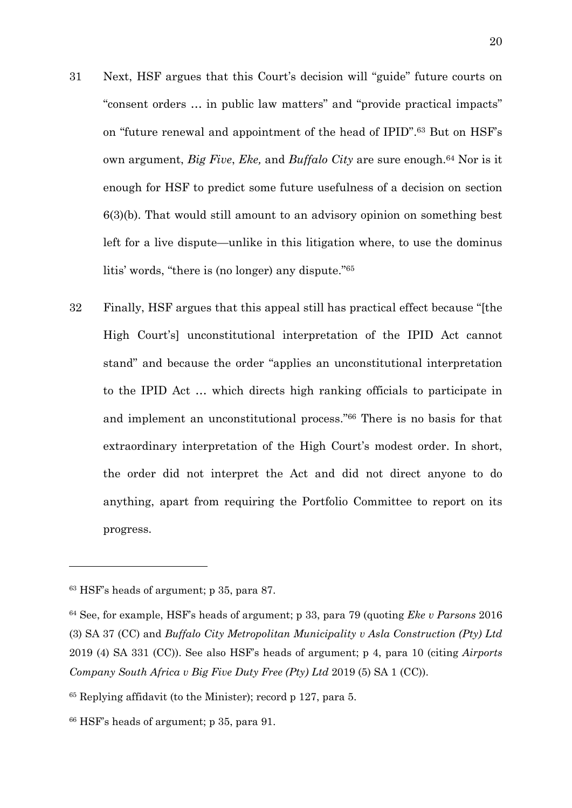- <span id="page-19-0"></span>31 Next, HSF argues that this Court's decision will "guide" future courts on "consent orders … in public law matters" and "provide practical impacts" on "future renewal and appointment of the head of IPID".63 But on HSF's own argument, *Big Five*, *Eke,* and *Buffalo City* are sure enough.64 Nor is it enough for HSF to predict some future usefulness of a decision on section 6(3)(b). That would still amount to an advisory opinion on something best left for a live dispute—unlike in this litigation where, to use the dominus litis' words, "there is (no longer) any dispute."65
- 32 Finally, HSF argues that this appeal still has practical effect because "[the High Court's] unconstitutional interpretation of the IPID Act cannot stand" and because the order "applies an unconstitutional interpretation to the IPID Act … which directs high ranking officials to participate in and implement an unconstitutional process."66 There is no basis for that extraordinary interpretation of the High Court's modest order. In short, the order did not interpret the Act and did not direct anyone to do anything, apart from requiring the Portfolio Committee to report on its progress.

<sup>63</sup> HSF's heads of argument; p 35, para 87.

<sup>64</sup> See, for example, HSF's heads of argument; p 33, para 79 (quoting *Eke v Parsons* 2016 (3) SA 37 (CC) and *Buffalo City Metropolitan Municipality v Asla Construction (Pty) Ltd* 2019 (4) SA 331 (CC)). See also HSF's heads of argument; p 4, para 10 (citing *Airports Company South Africa v Big Five Duty Free (Pty) Ltd* 2019 (5) SA 1 (CC)).

<sup>65</sup> Replying affidavit (to the Minister); record p 127, para 5.

<sup>66</sup> HSF's heads of argument; p 35, para 91.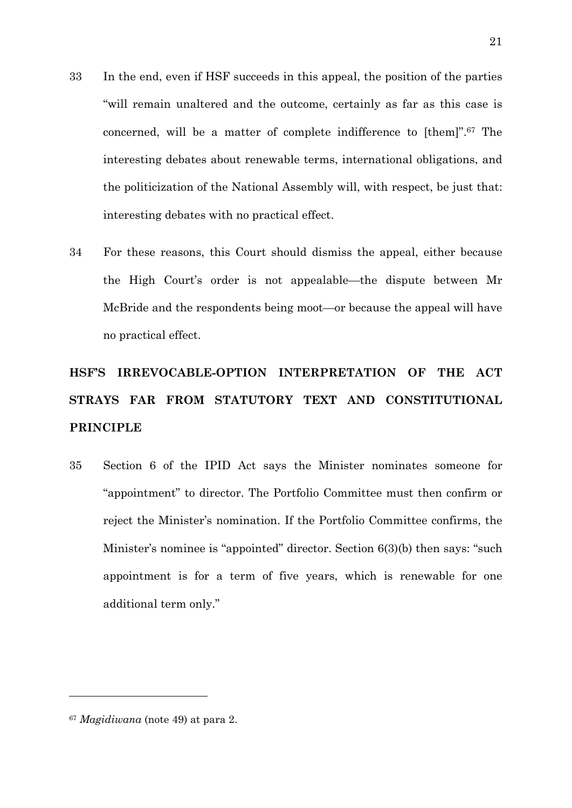- <span id="page-20-1"></span>33 In the end, even if HSF succeeds in this appeal, the position of the parties "will remain unaltered and the outcome, certainly as far as this case is concerned, will be a matter of complete indifference to [them]".67 The interesting debates about renewable terms, international obligations, and the politicization of the National Assembly will, with respect, be just that: interesting debates with no practical effect.
- 34 For these reasons, this Court should dismiss the appeal, either because the High Court's order is not appealable—the dispute between Mr McBride and the respondents being moot—or because the appeal will have no practical effect.

# **HSF'S IRREVOCABLE-OPTION INTERPRETATION OF THE ACT STRAYS FAR FROM STATUTORY TEXT AND CONSTITUTIONAL PRINCIPLE**

<span id="page-20-0"></span>35 Section 6 of the IPID Act says the Minister nominates someone for "appointment" to director. The Portfolio Committee must then confirm or reject the Minister's nomination. If the Portfolio Committee confirms, the Minister's nominee is "appointed" director. Section 6(3)(b) then says: "such appointment is for a term of five years, which is renewable for one additional term only."

<sup>67</sup> *Magidiwana* (note [49\)](#page-15-0) at para 2.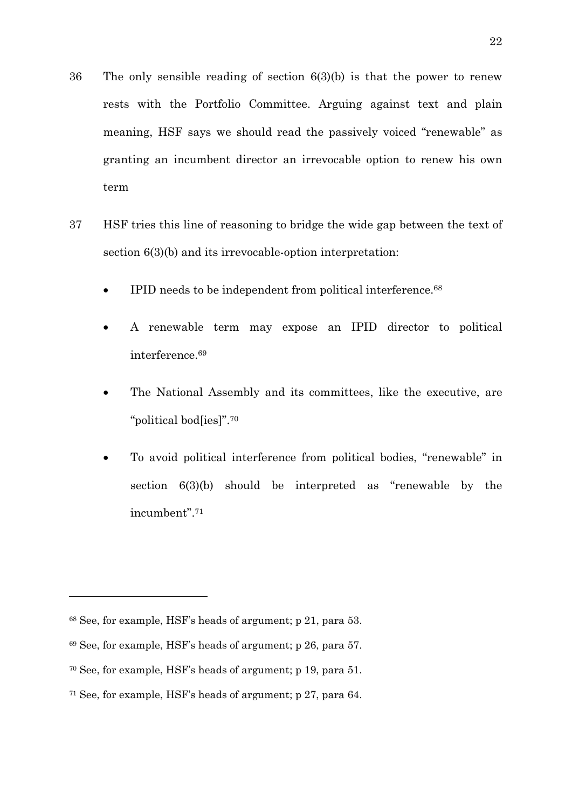- 36 The only sensible reading of section 6(3)(b) is that the power to renew rests with the Portfolio Committee. Arguing against text and plain meaning, HSF says we should read the passively voiced "renewable" as granting an incumbent director an irrevocable option to renew his own term
- 37 HSF tries this line of reasoning to bridge the wide gap between the text of section  $6(3)(b)$  and its irrevocable-option interpretation:
	- IPID needs to be independent from political interference.<sup>68</sup>
	- A renewable term may expose an IPID director to political interference.69
	- The National Assembly and its committees, like the executive, are "political bod[ies]".70
	- To avoid political interference from political bodies, "renewable" in section 6(3)(b) should be interpreted as "renewable by the incumbent".71

<sup>68</sup> See, for example, HSF's heads of argument; p 21, para 53.

<sup>69</sup> See, for example, HSF's heads of argument; p 26, para 57.

<sup>70</sup> See, for example, HSF's heads of argument; p 19, para 51.

<sup>71</sup> See, for example, HSF's heads of argument; p 27, para 64.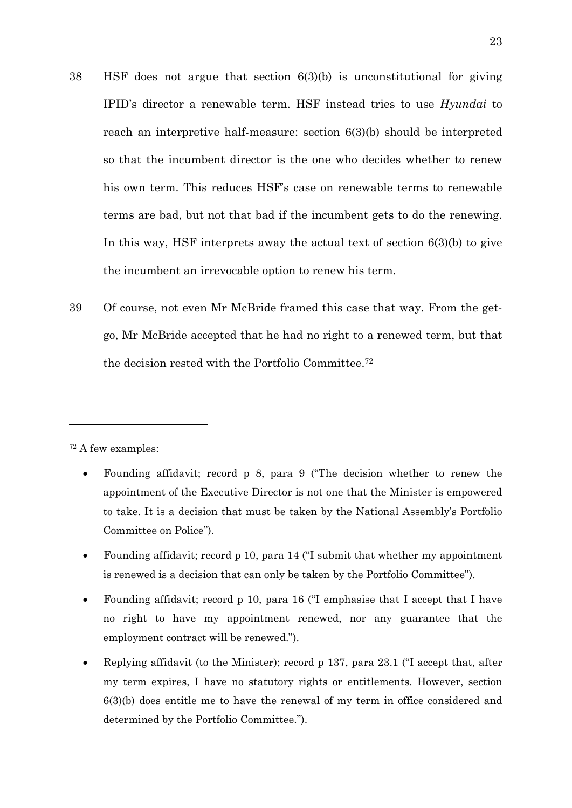- 38 HSF does not argue that section 6(3)(b) is unconstitutional for giving IPID's director a renewable term. HSF instead tries to use *Hyundai* to reach an interpretive half-measure: section 6(3)(b) should be interpreted so that the incumbent director is the one who decides whether to renew his own term. This reduces HSF's case on renewable terms to renewable terms are bad, but not that bad if the incumbent gets to do the renewing. In this way, HSF interprets away the actual text of section 6(3)(b) to give the incumbent an irrevocable option to renew his term.
- 39 Of course, not even Mr McBride framed this case that way. From the getgo, Mr McBride accepted that he had no right to a renewed term, but that the decision rested with the Portfolio Committee.72

<sup>72</sup> A few examples:

- Founding affidavit; record p 8, para 9 ("The decision whether to renew the appointment of the Executive Director is not one that the Minister is empowered to take. It is a decision that must be taken by the National Assembly's Portfolio Committee on Police").
- Founding affidavit; record p 10, para 14 ("I submit that whether my appointment is renewed is a decision that can only be taken by the Portfolio Committee").
- Founding affidavit; record p 10, para 16 ("I emphasise that I accept that I have no right to have my appointment renewed, nor any guarantee that the employment contract will be renewed.").
- Replying affidavit (to the Minister); record p 137, para 23.1 ("I accept that, after my term expires, I have no statutory rights or entitlements. However, section 6(3)(b) does entitle me to have the renewal of my term in office considered and determined by the Portfolio Committee.").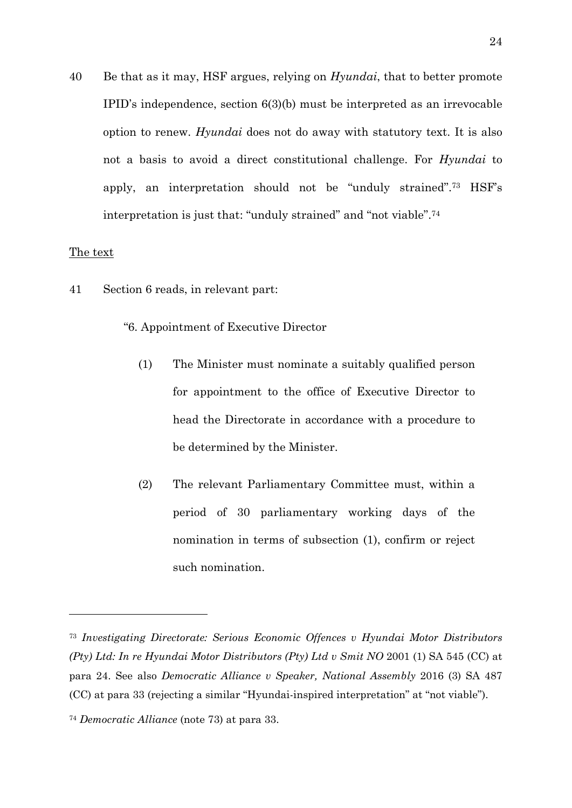<span id="page-23-1"></span>40 Be that as it may, HSF argues, relying on *Hyundai*, that to better promote IPID's independence, section 6(3)(b) must be interpreted as an irrevocable option to renew. *Hyundai* does not do away with statutory text. It is also not a basis to avoid a direct constitutional challenge. For *Hyundai* to apply, an interpretation should not be "unduly strained".73 HSF's interpretation is just that: "unduly strained" and "not viable".74

#### <span id="page-23-2"></span>The text

- <span id="page-23-0"></span>41 Section 6 reads, in relevant part:
	- "6. Appointment of Executive Director
		- (1) The Minister must nominate a suitably qualified person for appointment to the office of Executive Director to head the Directorate in accordance with a procedure to be determined by the Minister.
		- (2) The relevant Parliamentary Committee must, within a period of 30 parliamentary working days of the nomination in terms of subsection (1), confirm or reject such nomination.

<sup>73</sup> *Investigating Directorate: Serious Economic Offences v Hyundai Motor Distributors (Pty) Ltd: In re Hyundai Motor Distributors (Pty) Ltd v Smit NO* 2001 (1) SA 545 (CC) at para 24. See also *Democratic Alliance v Speaker, National Assembly* 2016 (3) SA 487 (CC) at para 33 (rejecting a similar "Hyundai-inspired interpretation" at "not viable").

<sup>74</sup> *Democratic Alliance* (note [73\)](#page-23-2) at para 33.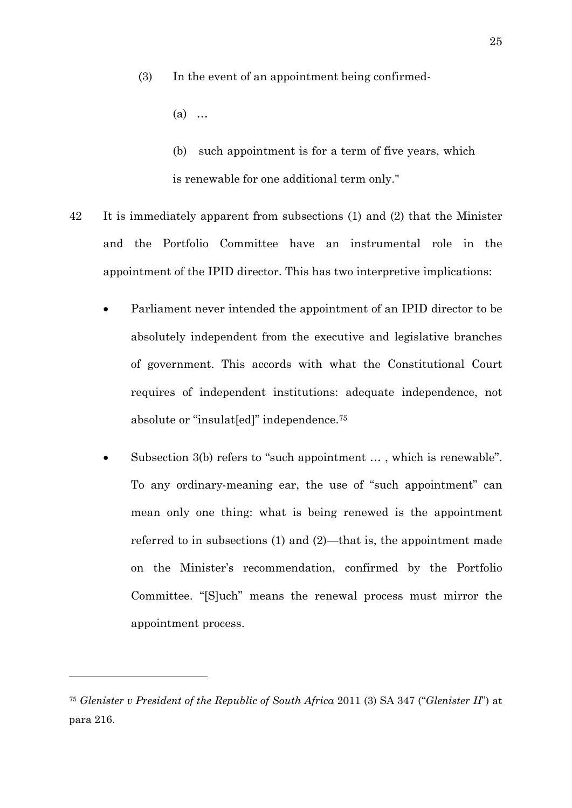(3) In the event of an appointment being confirmed-

(a) …

<span id="page-24-0"></span>(b) such appointment is for a term of five years, which is renewable for one additional term only."

- 42 It is immediately apparent from subsections (1) and (2) that the Minister and the Portfolio Committee have an instrumental role in the appointment of the IPID director. This has two interpretive implications:
	- Parliament never intended the appointment of an IPID director to be absolutely independent from the executive and legislative branches of government. This accords with what the Constitutional Court requires of independent institutions: adequate independence, not absolute or "insulat[ed]" independence.75
	- Subsection 3(b) refers to "such appointment ..., which is renewable". To any ordinary-meaning ear, the use of "such appointment" can mean only one thing: what is being renewed is the appointment referred to in subsections (1) and (2)—that is, the appointment made on the Minister's recommendation, confirmed by the Portfolio Committee. "[S]uch" means the renewal process must mirror the appointment process.

<sup>75</sup> *Glenister v President of the Republic of South Africa* 2011 (3) SA 347 ("*Glenister II*") at para 216.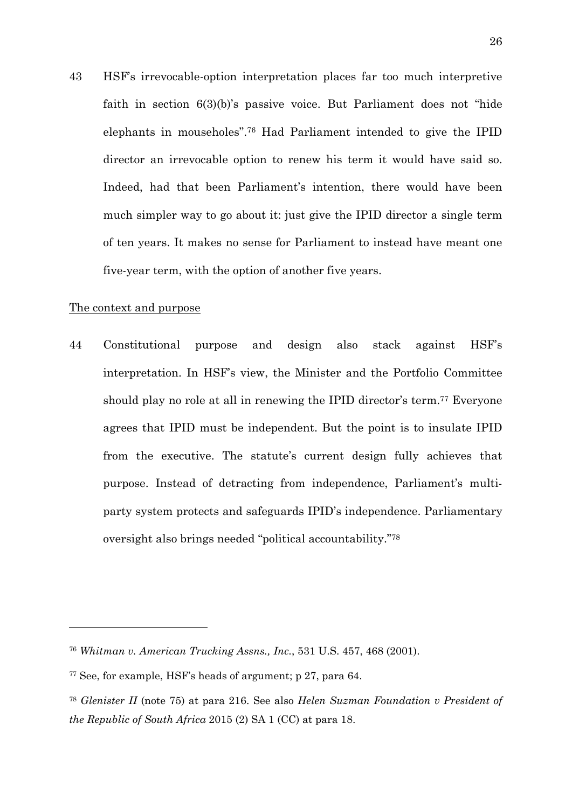<span id="page-25-1"></span>43 HSF's irrevocable-option interpretation places far too much interpretive faith in section 6(3)(b)'s passive voice. But Parliament does not "hide elephants in mouseholes".76 Had Parliament intended to give the IPID director an irrevocable option to renew his term it would have said so. Indeed, had that been Parliament's intention, there would have been much simpler way to go about it: just give the IPID director a single term of ten years. It makes no sense for Parliament to instead have meant one five-year term, with the option of another five years.

#### The context and purpose

<span id="page-25-2"></span><u>.</u>

<span id="page-25-0"></span>44 Constitutional purpose and design also stack against HSF's interpretation. In HSF's view, the Minister and the Portfolio Committee should play no role at all in renewing the IPID director's term.<sup>77</sup> Everyone agrees that IPID must be independent. But the point is to insulate IPID from the executive. The statute's current design fully achieves that purpose. Instead of detracting from independence, Parliament's multiparty system protects and safeguards IPID's independence. Parliamentary oversight also brings needed "political accountability."78

<sup>76</sup> *Whitman v. American Trucking Assns., Inc.*, 531 U.S. 457, 468 (2001).

<sup>77</sup> See, for example, HSF's heads of argument; p 27, para 64.

<sup>78</sup> *Glenister II* (note [75\)](#page-24-0) at para 216. See also *Helen Suzman Foundation v President of the Republic of South Africa* 2015 (2) SA 1 (CC) at para 18.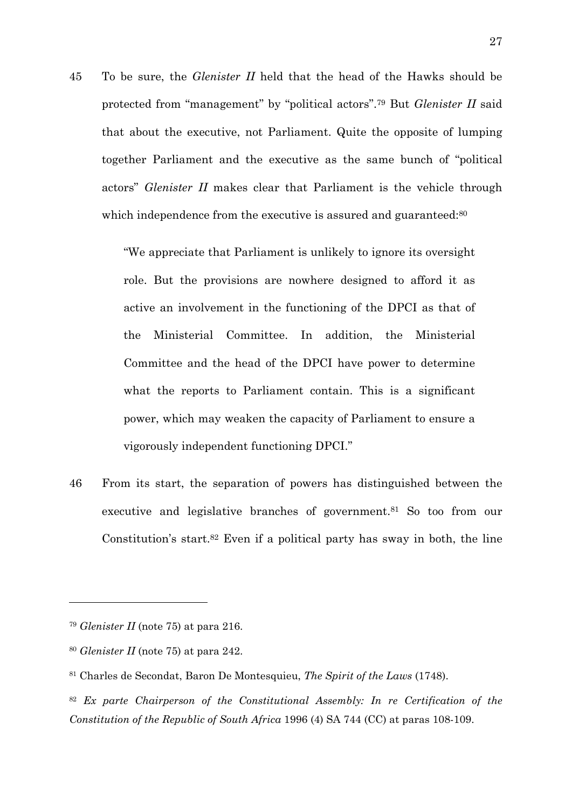45 To be sure, the *Glenister II* held that the head of the Hawks should be protected from "management" by "political actors".79 But *Glenister II* said that about the executive, not Parliament. Quite the opposite of lumping together Parliament and the executive as the same bunch of "political actors" *Glenister II* makes clear that Parliament is the vehicle through which independence from the executive is assured and guaranteed:<sup>80</sup>

> "We appreciate that Parliament is unlikely to ignore its oversight role. But the provisions are nowhere designed to afford it as active an involvement in the functioning of the DPCI as that of the Ministerial Committee. In addition, the Ministerial Committee and the head of the DPCI have power to determine what the reports to Parliament contain. This is a significant power, which may weaken the capacity of Parliament to ensure a vigorously independent functioning DPCI."

46 From its start, the separation of powers has distinguished between the executive and legislative branches of government.81 So too from our Constitution's start.<sup>82</sup> Even if a political party has sway in both, the line

<u>.</u>

<sup>82</sup> *Ex parte Chairperson of the Constitutional Assembly: In re Certification of the Constitution of the Republic of South Africa* 1996 (4) SA 744 (CC) at paras 108-109.

<sup>79</sup> *Glenister II* (note [75\)](#page-24-0) at para 216.

<sup>80</sup> *Glenister II* (note [75\)](#page-24-0) at para 242.

<sup>81</sup> Charles de Secondat, Baron De Montesquieu, *The Spirit of the Laws* (1748).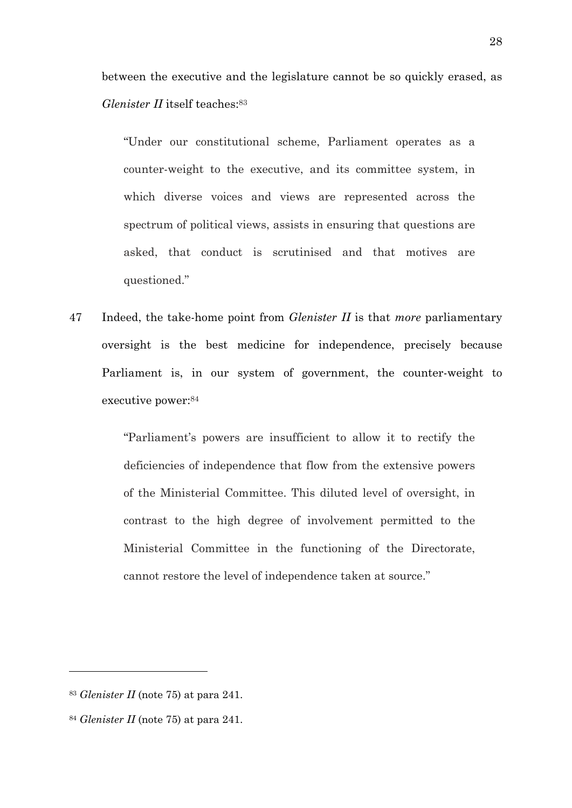between the executive and the legislature cannot be so quickly erased, as *Glenister II* itself teaches:<sup>83</sup>

"Under our constitutional scheme, Parliament operates as a counter-weight to the executive, and its committee system, in which diverse voices and views are represented across the spectrum of political views, assists in ensuring that questions are asked, that conduct is scrutinised and that motives are questioned."

47 Indeed, the take-home point from *Glenister II* is that *more* parliamentary oversight is the best medicine for independence, precisely because Parliament is, in our system of government, the counter-weight to executive power:84

> "Parliament's powers are insufficient to allow it to rectify the deficiencies of independence that flow from the extensive powers of the Ministerial Committee. This diluted level of oversight, in contrast to the high degree of involvement permitted to the Ministerial Committee in the functioning of the Directorate, cannot restore the level of independence taken at source."

<sup>83</sup> *Glenister II* (note [75\)](#page-24-0) at para 241.

<sup>84</sup> *Glenister II* (note [75\)](#page-24-0) at para 241.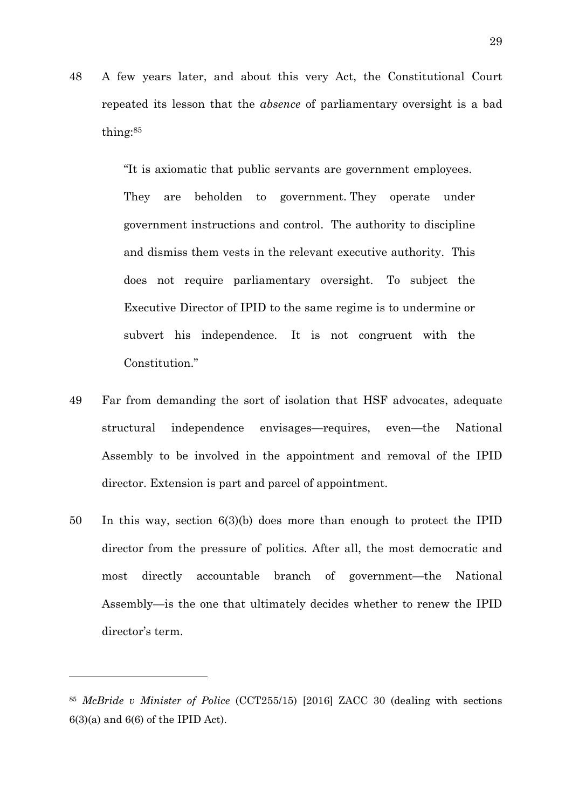48 A few years later, and about this very Act, the Constitutional Court repeated its lesson that the *absence* of parliamentary oversight is a bad thing:85

> "It is axiomatic that public servants are government employees. They are beholden to government. They operate under government instructions and control. The authority to discipline and dismiss them vests in the relevant executive authority. This does not require parliamentary oversight. To subject the Executive Director of IPID to the same regime is to undermine or subvert his independence. It is not congruent with the Constitution."

- 49 Far from demanding the sort of isolation that HSF advocates, adequate structural independence envisages—requires, even—the National Assembly to be involved in the appointment and removal of the IPID director. Extension is part and parcel of appointment.
- 50 In this way, section 6(3)(b) does more than enough to protect the IPID director from the pressure of politics. After all, the most democratic and most directly accountable branch of government—the National Assembly—is the one that ultimately decides whether to renew the IPID director's term.

<sup>85</sup> *McBride v Minister of Police* (CCT255/15) [2016] ZACC 30 (dealing with sections  $6(3)(a)$  and  $6(6)$  of the IPID Act).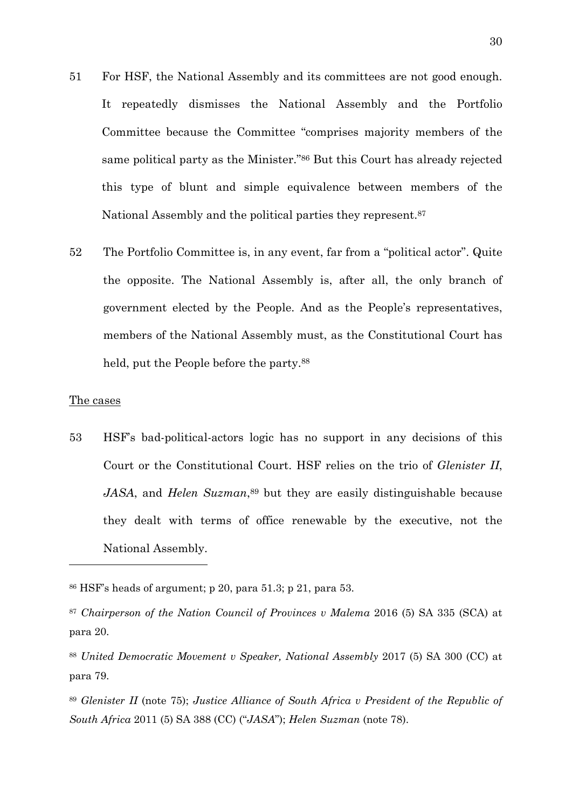- <span id="page-29-1"></span>51 For HSF, the National Assembly and its committees are not good enough. It repeatedly dismisses the National Assembly and the Portfolio Committee because the Committee "comprises majority members of the same political party as the Minister."86 But this Court has already rejected this type of blunt and simple equivalence between members of the National Assembly and the political parties they represent.87
- 52 The Portfolio Committee is, in any event, far from a "political actor". Quite the opposite. The National Assembly is, after all, the only branch of government elected by the People. And as the People's representatives, members of the National Assembly must, as the Constitutional Court has held, put the People before the party.<sup>88</sup>

#### The cases

-

<span id="page-29-2"></span><span id="page-29-0"></span>53 HSF's bad-political-actors logic has no support in any decisions of this Court or the Constitutional Court. HSF relies on the trio of *Glenister II*, *JASA*, and *Helen Suzman*,<sup>89</sup> but they are easily distinguishable because they dealt with terms of office renewable by the executive, not the National Assembly.

 $86$  HSF's heads of argument; p 20, para 51.3; p 21, para 53.

<sup>87</sup> *Chairperson of the Nation Council of Provinces v Malema* 2016 (5) SA 335 (SCA) at para 20.

<sup>88</sup> *United Democratic Movement v Speaker, National Assembly* 2017 (5) SA 300 (CC) at para 79.

<sup>89</sup> *Glenister II* (note [75\)](#page-24-0); *Justice Alliance of South Africa v President of the Republic of South Africa* 2011 (5) SA 388 (CC) ("*JASA*"); *Helen Suzman* (note [78\)](#page-25-2).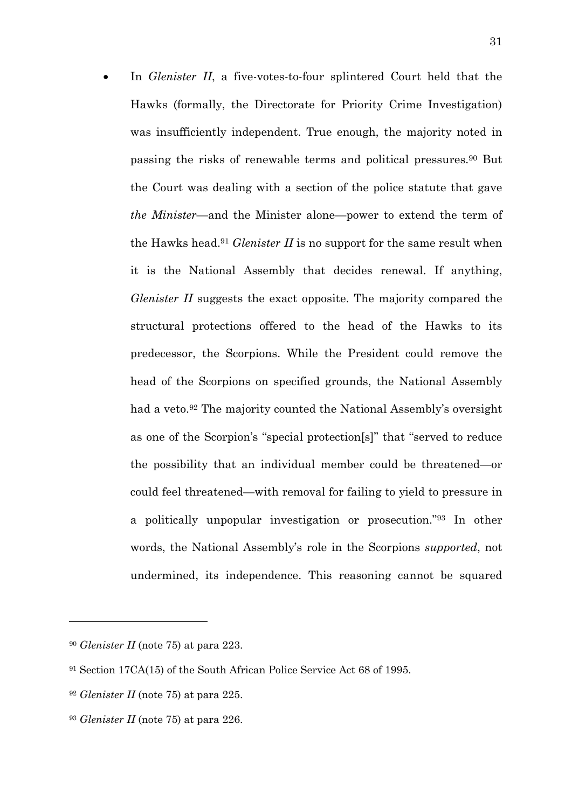• In *Glenister II*, a five-votes-to-four splintered Court held that the Hawks (formally, the Directorate for Priority Crime Investigation) was insufficiently independent. True enough, the majority noted in passing the risks of renewable terms and political pressures.90 But the Court was dealing with a section of the police statute that gave *the Minister*—and the Minister alone—power to extend the term of the Hawks head.91 *Glenister II* is no support for the same result when it is the National Assembly that decides renewal. If anything, *Glenister II* suggests the exact opposite. The majority compared the structural protections offered to the head of the Hawks to its predecessor, the Scorpions. While the President could remove the head of the Scorpions on specified grounds, the National Assembly had a veto.<sup>92</sup> The majority counted the National Assembly's oversight as one of the Scorpion's "special protection[s]" that "served to reduce the possibility that an individual member could be threatened—or could feel threatened—with removal for failing to yield to pressure in a politically unpopular investigation or prosecution."93 In other words, the National Assembly's role in the Scorpions *supported*, not undermined, its independence. This reasoning cannot be squared

<sup>90</sup> *Glenister II* (note [75\)](#page-24-0) at para 223.

<sup>91</sup> Section 17CA(15) of the South African Police Service Act 68 of 1995.

<sup>92</sup> *Glenister II* (note [75\)](#page-24-0) at para 225.

<sup>93</sup> *Glenister II* (note [75\)](#page-24-0) at para 226.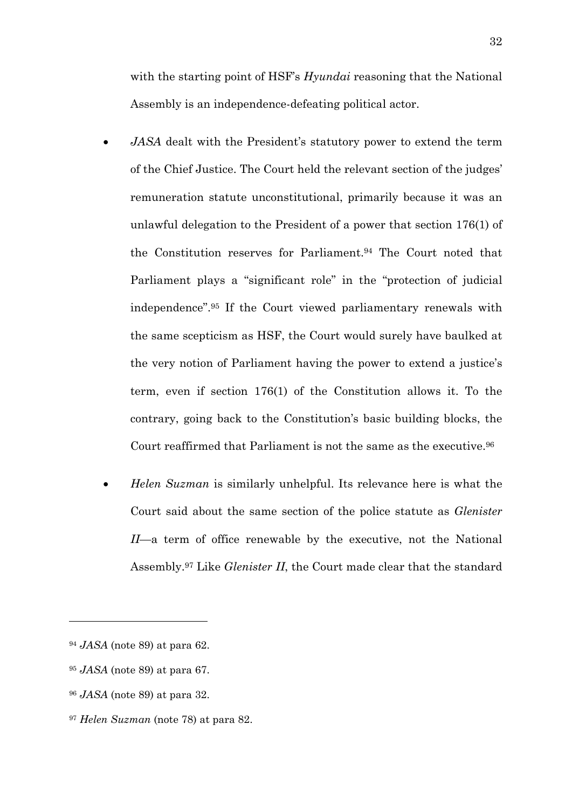with the starting point of HSF's *Hyundai* reasoning that the National Assembly is an independence-defeating political actor.

- *JASA* dealt with the President's statutory power to extend the term of the Chief Justice. The Court held the relevant section of the judges' remuneration statute unconstitutional, primarily because it was an unlawful delegation to the President of a power that section 176(1) of the Constitution reserves for Parliament.94 The Court noted that Parliament plays a "significant role" in the "protection of judicial independence".95 If the Court viewed parliamentary renewals with the same scepticism as HSF, the Court would surely have baulked at the very notion of Parliament having the power to extend a justice's term, even if section 176(1) of the Constitution allows it. To the contrary, going back to the Constitution's basic building blocks, the Court reaffirmed that Parliament is not the same as the executive.96
- *Helen Suzman* is similarly unhelpful. Its relevance here is what the Court said about the same section of the police statute as *Glenister II*—a term of office renewable by the executive, not the National Assembly.97 Like *Glenister II*, the Court made clear that the standard

<sup>94</sup> *JASA* (note [89\)](#page-29-2) at para 62.

<sup>95</sup> *JASA* (note [89\)](#page-29-2) at para 67.

<sup>96</sup> *JASA* (note [89\)](#page-29-2) at para 32.

<sup>97</sup> *Helen Suzman* (note [78\)](#page-25-2) at para 82.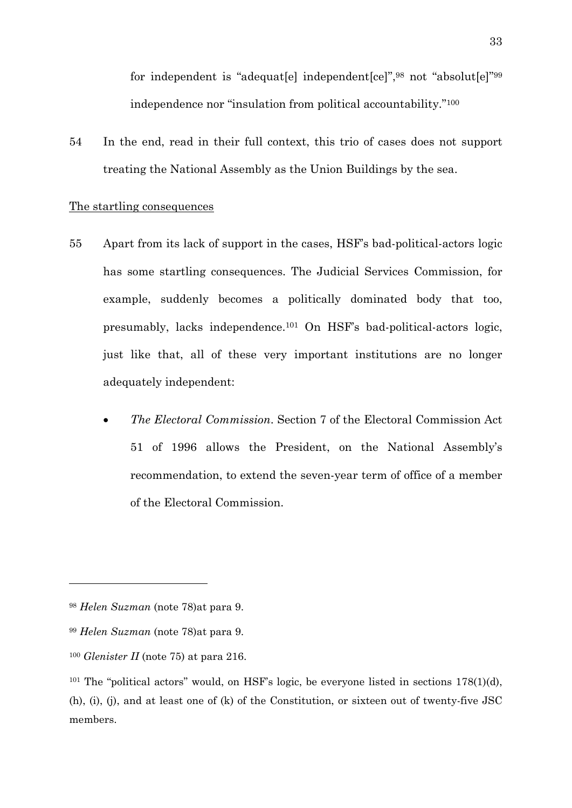<span id="page-32-1"></span>for independent is "adequat[e] independent[ce]",98 not "absolut[e]"99 independence nor "insulation from political accountability."100

54 In the end, read in their full context, this trio of cases does not support treating the National Assembly as the Union Buildings by the sea.

### The startling consequences

- <span id="page-32-0"></span>55 Apart from its lack of support in the cases, HSF's bad-political-actors logic has some startling consequences. The Judicial Services Commission, for example, suddenly becomes a politically dominated body that too, presumably, lacks independence.101 On HSF's bad-political-actors logic, just like that, all of these very important institutions are no longer adequately independent:
	- *The Electoral Commission*. Section 7 of the Electoral Commission Act 51 of 1996 allows the President, on the National Assembly's recommendation, to extend the seven-year term of office of a member of the Electoral Commission.

<sup>98</sup> *Helen Suzman* (note [78\)](#page-25-2)at para 9.

<sup>99</sup> *Helen Suzman* (note [78\)](#page-25-2)at para 9.

<sup>100</sup> *Glenister II* (note [75\)](#page-24-0) at para 216.

<sup>&</sup>lt;sup>101</sup> The "political actors" would, on HSF's logic, be everyone listed in sections  $178(1)(d)$ , (h), (i), (j), and at least one of (k) of the Constitution, or sixteen out of twenty-five JSC members.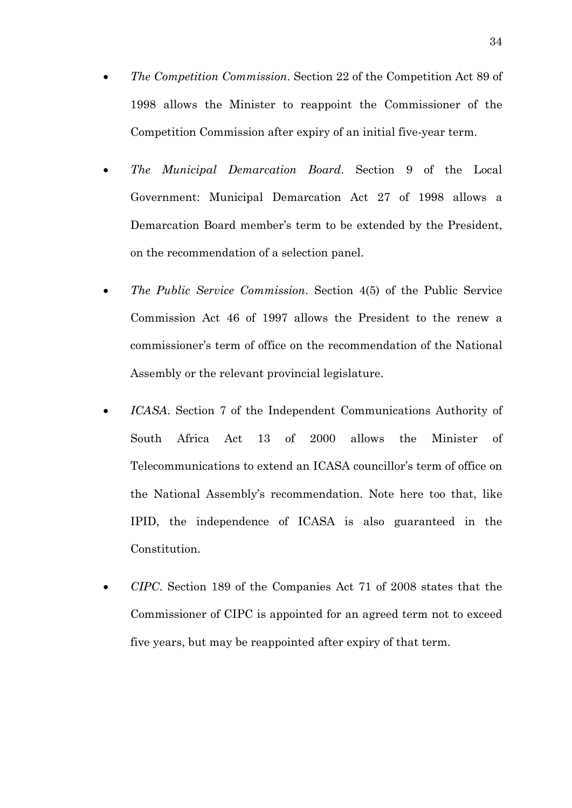- *The Competition Commission*. Section 22 of the Competition Act 89 of 1998 allows the Minister to reappoint the Commissioner of the Competition Commission after expiry of an initial five-year term.
- *The Municipal Demarcation Board*. Section 9 of the Local Government: Municipal Demarcation Act 27 of 1998 allows a Demarcation Board member's term to be extended by the President, on the recommendation of a selection panel.
- *The Public Service Commission*. Section 4(5) of the Public Service Commission Act 46 of 1997 allows the President to the renew a commissioner's term of office on the recommendation of the National Assembly or the relevant provincial legislature.
- *ICASA*. Section 7 of the Independent Communications Authority of South Africa Act 13 of 2000 allows the Minister of Telecommunications to extend an ICASA councillor's term of office on the National Assembly's recommendation. Note here too that, like IPID, the independence of ICASA is also guaranteed in the Constitution.
- *CIPC*. Section 189 of the Companies Act 71 of 2008 states that the Commissioner of CIPC is appointed for an agreed term not to exceed five years, but may be reappointed after expiry of that term.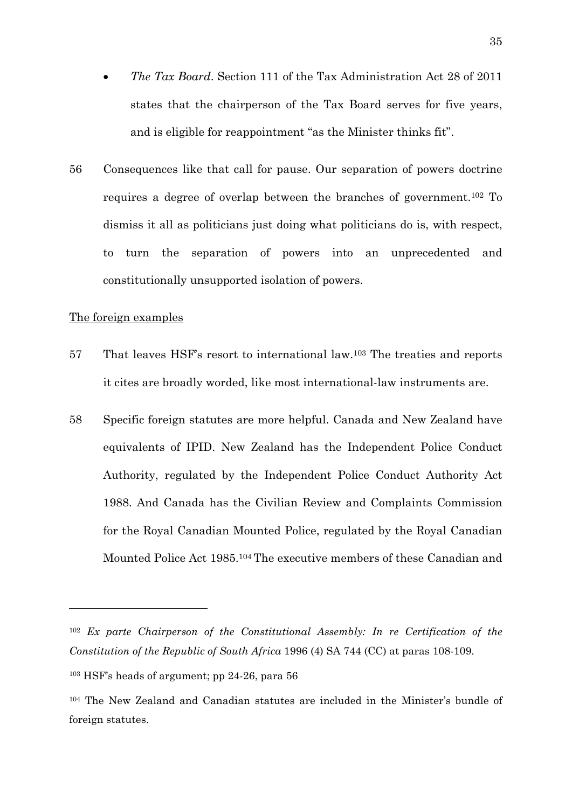- <span id="page-34-1"></span>• *The Tax Board*. Section 111 of the Tax Administration Act 28 of 2011 states that the chairperson of the Tax Board serves for five years, and is eligible for reappointment "as the Minister thinks fit".
- 56 Consequences like that call for pause. Our separation of powers doctrine requires a degree of overlap between the branches of government.102 To dismiss it all as politicians just doing what politicians do is, with respect, to turn the separation of powers into an unprecedented and constitutionally unsupported isolation of powers.

#### The foreign examples

- <span id="page-34-0"></span>57 That leaves HSF's resort to international law.103 The treaties and reports it cites are broadly worded, like most international-law instruments are.
- 58 Specific foreign statutes are more helpful. Canada and New Zealand have equivalents of IPID. New Zealand has the Independent Police Conduct Authority, regulated by the Independent Police Conduct Authority Act 1988. And Canada has the Civilian Review and Complaints Commission for the Royal Canadian Mounted Police, regulated by the Royal Canadian Mounted Police Act 1985.104 The executive members of these Canadian and

<sup>102</sup> *Ex parte Chairperson of the Constitutional Assembly: In re Certification of the Constitution of the Republic of South Africa* 1996 (4) SA 744 (CC) at paras 108-109.

<sup>103</sup> HSF's heads of argument; pp 24-26, para 56

<sup>104</sup> The New Zealand and Canadian statutes are included in the Minister's bundle of foreign statutes.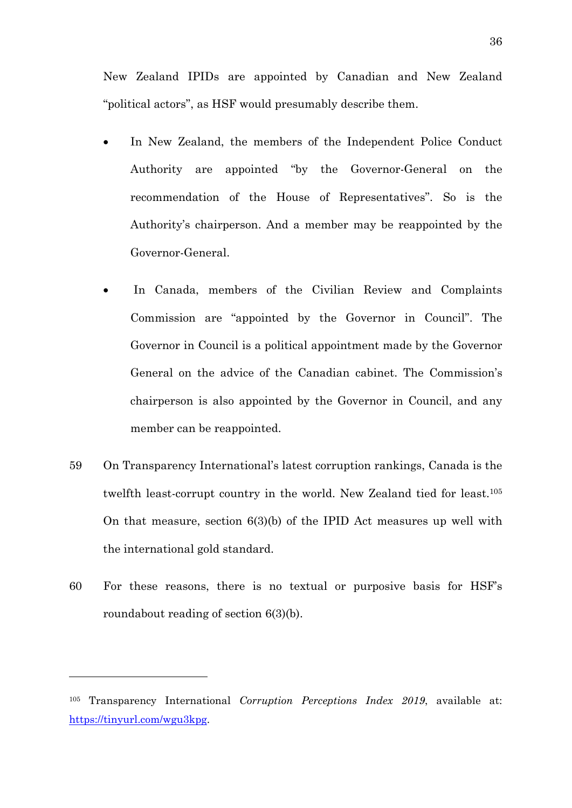New Zealand IPIDs are appointed by Canadian and New Zealand "political actors", as HSF would presumably describe them.

- In New Zealand, the members of the Independent Police Conduct Authority are appointed "by the Governor-General on the recommendation of the House of Representatives". So is the Authority's chairperson. And a member may be reappointed by the Governor-General.
- In Canada, members of the Civilian Review and Complaints Commission are "appointed by the Governor in Council". The Governor in Council is a political appointment made by the Governor General on the advice of the Canadian cabinet. The Commission's chairperson is also appointed by the Governor in Council, and any member can be reappointed.
- 59 On Transparency International's latest corruption rankings, Canada is the twelfth least-corrupt country in the world. New Zealand tied for least.105 On that measure, section 6(3)(b) of the IPID Act measures up well with the international gold standard.
- 60 For these reasons, there is no textual or purposive basis for HSF's roundabout reading of section 6(3)(b).

<sup>105</sup> Transparency International *Corruption Perceptions Index 2019*, available at: [https://tinyurl.com/wgu3kpg.](https://tinyurl.com/wgu3kpg)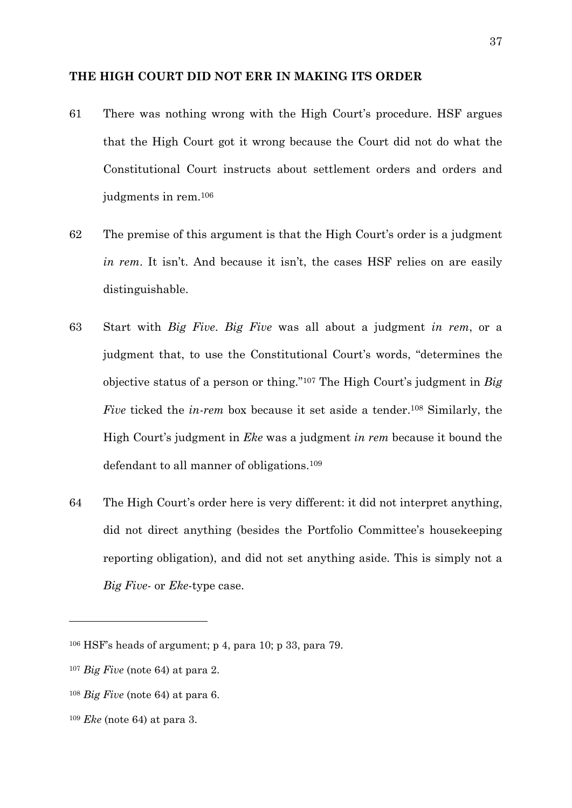#### <span id="page-36-1"></span>**THE HIGH COURT DID NOT ERR IN MAKING ITS ORDER**

- <span id="page-36-0"></span>61 There was nothing wrong with the High Court's procedure. HSF argues that the High Court got it wrong because the Court did not do what the Constitutional Court instructs about settlement orders and orders and judgments in rem.106
- 62 The premise of this argument is that the High Court's order is a judgment *in rem*. It isn't. And because it isn't, the cases HSF relies on are easily distinguishable.
- 63 Start with *Big Five*. *Big Five* was all about a judgment *in rem*, or a judgment that, to use the Constitutional Court's words, "determines the objective status of a person or thing."107 The High Court's judgment in *Big Five* ticked the *in-rem* box because it set aside a tender.<sup>108</sup> Similarly, the High Court's judgment in *Eke* was a judgment *in rem* because it bound the defendant to all manner of obligations.109
- 64 The High Court's order here is very different: it did not interpret anything, did not direct anything (besides the Portfolio Committee's housekeeping reporting obligation), and did not set anything aside. This is simply not a *Big Five*- or *Eke*-type case.

<sup>106</sup> HSF's heads of argument; p 4, para 10; p 33, para 79.

<sup>107</sup> *Big Five* (note [64\)](#page-19-0) at para 2.

<sup>108</sup> *Big Five* (note [64\)](#page-19-0) at para 6.

<sup>109</sup> *Eke* (note [64\)](#page-19-0) at para 3.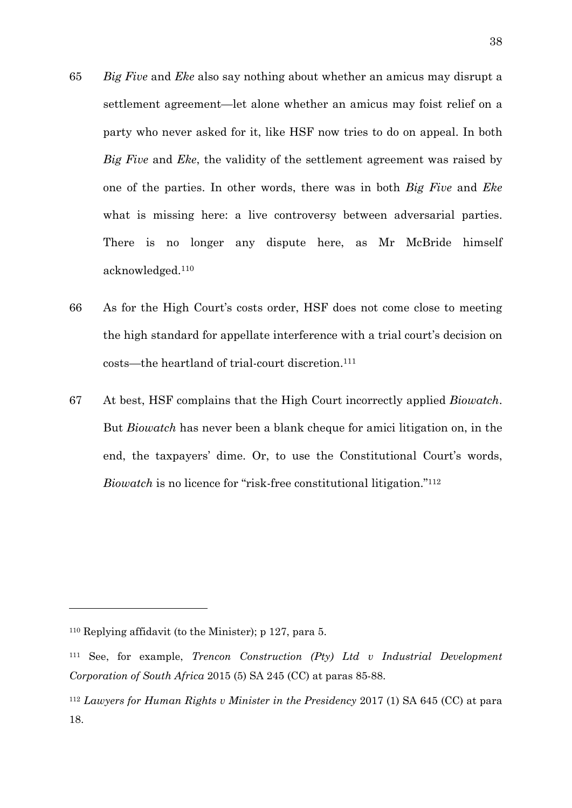- 65 *Big Five* and *Eke* also say nothing about whether an amicus may disrupt a settlement agreement—let alone whether an amicus may foist relief on a party who never asked for it, like HSF now tries to do on appeal. In both *Big Five* and *Eke*, the validity of the settlement agreement was raised by one of the parties. In other words, there was in both *Big Five* and *Eke* what is missing here: a live controversy between adversarial parties. There is no longer any dispute here, as Mr McBride himself acknowledged.110
- 66 As for the High Court's costs order, HSF does not come close to meeting the high standard for appellate interference with a trial court's decision on costs—the heartland of trial-court discretion.111
- <span id="page-37-0"></span>67 At best, HSF complains that the High Court incorrectly applied *Biowatch*. But *Biowatch* has never been a blank cheque for amici litigation on, in the end, the taxpayers' dime. Or, to use the Constitutional Court's words, *Biowatch* is no licence for "risk-free constitutional litigation."<sup>112</sup>

<sup>110</sup> Replying affidavit (to the Minister); p 127, para 5.

<sup>111</sup> See, for example, *Trencon Construction (Pty) Ltd v Industrial Development Corporation of South Africa* 2015 (5) SA 245 (CC) at paras 85-88.

<sup>112</sup> *Lawyers for Human Rights v Minister in the Presidency* 2017 (1) SA 645 (CC) at para 18.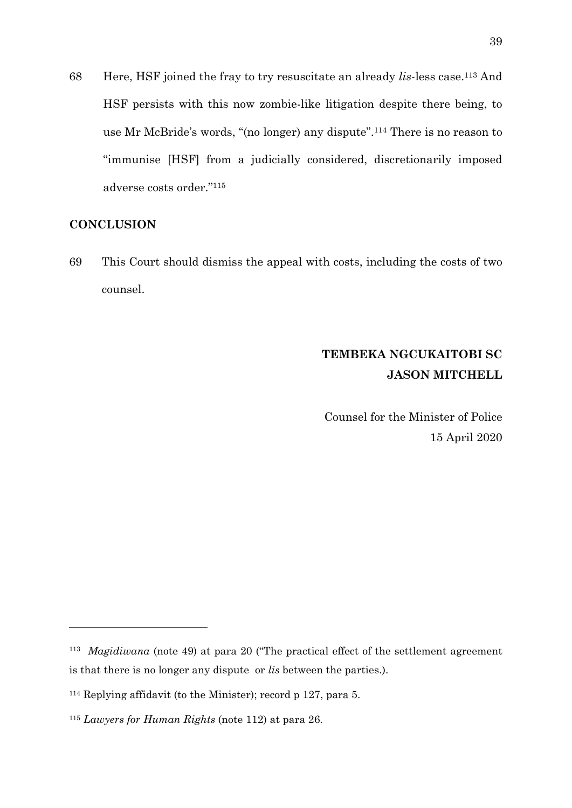<span id="page-38-1"></span>68 Here, HSF joined the fray to try resuscitate an already *lis*-less case.113 And HSF persists with this now zombie-like litigation despite there being, to use Mr McBride's words, "(no longer) any dispute".114 There is no reason to "immunise [HSF] from a judicially considered, discretionarily imposed adverse costs order."115

### **CONCLUSION**

<u>.</u>

<span id="page-38-0"></span>69 This Court should dismiss the appeal with costs, including the costs of two counsel.

# **TEMBEKA NGCUKAITOBI SC JASON MITCHELL**

Counsel for the Minister of Police 15 April 2020

<sup>113</sup> *Magidiwana* (note [49\)](#page-15-0) at para 20 ("The practical effect of the settlement agreement is that there is no longer any dispute or *lis* between the parties.).

<sup>114</sup> Replying affidavit (to the Minister); record p 127, para 5.

<sup>115</sup> *Lawyers for Human Rights* (note [112\)](#page-37-0) at para 26.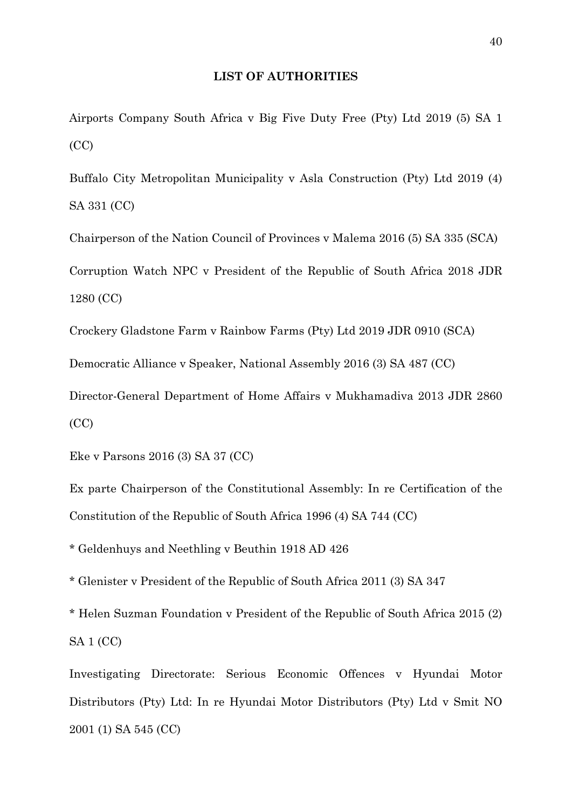#### **LIST OF AUTHORITIES**

Airports Company South Africa v Big Five Duty Free (Pty) Ltd 2019 (5) SA 1 (CC)

Buffalo City Metropolitan Municipality v Asla Construction (Pty) Ltd 2019 (4) SA 331 (CC)

Chairperson of the Nation Council of Provinces v Malema 2016 (5) SA 335 (SCA) Corruption Watch NPC v President of the Republic of South Africa 2018 JDR 1280 (CC)

Crockery Gladstone Farm v Rainbow Farms (Pty) Ltd 2019 JDR 0910 (SCA)

Democratic Alliance v Speaker, National Assembly 2016 (3) SA 487 (CC)

Director-General Department of Home Affairs v Mukhamadiva 2013 JDR 2860 (CC)

Eke v Parsons 2016 (3) SA 37 (CC)

Ex parte Chairperson of the Constitutional Assembly: In re Certification of the Constitution of the Republic of South Africa 1996 (4) SA 744 (CC)

\* Geldenhuys and Neethling v Beuthin 1918 AD 426

\* Glenister v President of the Republic of South Africa 2011 (3) SA 347

\* Helen Suzman Foundation v President of the Republic of South Africa 2015 (2) SA 1 (CC)

Investigating Directorate: Serious Economic Offences v Hyundai Motor Distributors (Pty) Ltd: In re Hyundai Motor Distributors (Pty) Ltd v Smit NO 2001 (1) SA 545 (CC)